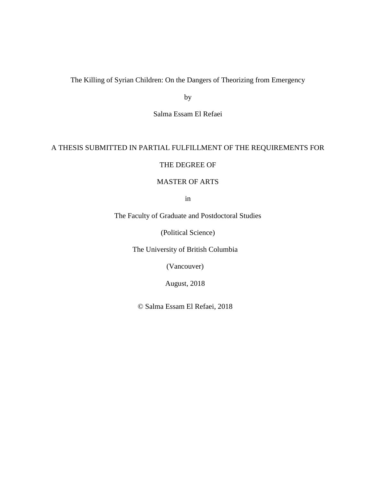The Killing of Syrian Children: On the Dangers of Theorizing from Emergency

by

Salma Essam El Refaei

# A THESIS SUBMITTED IN PARTIAL FULFILLMENT OF THE REQUIREMENTS FOR

## THE DEGREE OF

# MASTER OF ARTS

in

The Faculty of Graduate and Postdoctoral Studies

(Political Science)

The University of British Columbia

(Vancouver)

August, 2018

© Salma Essam El Refaei, 2018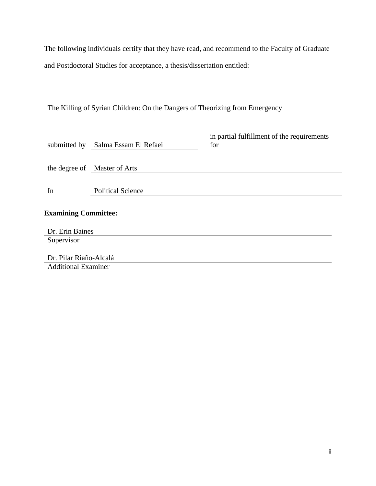The following individuals certify that they have read, and recommend to the Faculty of Graduate and Postdoctoral Studies for acceptance, a thesis/dissertation entitled:

# The Killing of Syrian Children: On the Dangers of Theorizing from Emergency

|                             | submitted by Salma Essam El Refaei | in partial fulfillment of the requirements<br>for |
|-----------------------------|------------------------------------|---------------------------------------------------|
|                             | the degree of Master of Arts       |                                                   |
| In                          | <b>Political Science</b>           |                                                   |
| <b>Examining Committee:</b> |                                    |                                                   |
| Dr. Erin Baines             |                                    |                                                   |
| Supervisor                  |                                    |                                                   |
| Dr. Pilar Riaño-Alcalá      |                                    |                                                   |
| <b>Additional Examiner</b>  |                                    |                                                   |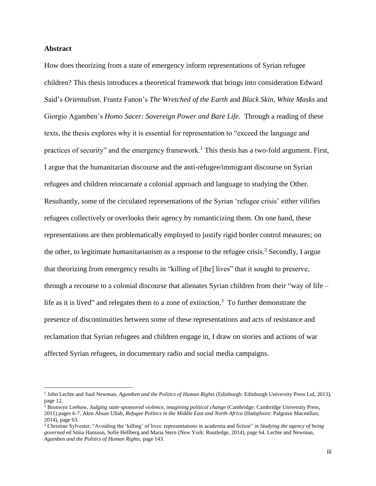## **Abstract**

 $\overline{\phantom{a}}$ 

How does theorizing from a state of emergency inform representations of Syrian refugee children? This thesis introduces a theoretical framework that brings into consideration Edward Said's *Orientalism*, Frantz Fanon's *The Wretched of the Earth* and *Black Skin, White Masks* and Giorgio Agamben's *Homo Sacer: Sovereign Power and Bare Life*. Through a reading of these texts, the thesis explores why it is essential for representation to "exceed the language and practices of security" and the emergency framework.<sup>1</sup> This thesis has a two-fold argument. First, I argue that the humanitarian discourse and the anti-refugee/immigrant discourse on Syrian refugees and children reincarnate a colonial approach and language to studying the Other. Resultantly, some of the circulated representations of the Syrian 'refugee crisis' either vilifies refugees collectively or overlooks their agency by romanticizing them. On one hand, these representations are then problematically employed to justify rigid border control measures; on the other, to legitimate humanitarianism as a response to the refugee crisis.<sup>2</sup> Secondly, I argue that theorizing from emergency results in "killing of [the] lives" that it sought to preserve, through a recourse to a colonial discourse that alienates Syrian children from their "way of life – life as it is lived" and relegates them to a zone of extinction.<sup>3</sup> To further demonstrate the presence of discontinuities between some of these representations and acts of resistance and reclamation that Syrian refugees and children engage in, I draw on stories and actions of war affected Syrian refugees, in documentary radio and social media campaigns.

<sup>1</sup> John Lechte and Saul Newman, *Agamben and the Politics of Human Rights* (Edinburgh: Edinburgh University Press Ltd, 2013), page 12.

<sup>&</sup>lt;sup>2</sup> Bronwyn Leebaw, *Judging state-sponsored violence, imagining political change* (Cambridge: Cambridge University Press, 2011) pages 6-7. Akm Ahsan Ullah, *Refugee Politics in the Middle East and North Africa* (Hamphsire: Palgrave Macmillan, 2014), page 63.

<sup>3</sup> Christine Sylvester, "Avoiding the 'killing' of lives: representations in academia and fiction" in *Studying the agency of being governed* ed Stina Hansson, Sofie Hellberg and Maria Stern (New York: Routledge, 2014), page 64. Lechte and Newman, *Agamben and the Politics of Human Rights,* page 143.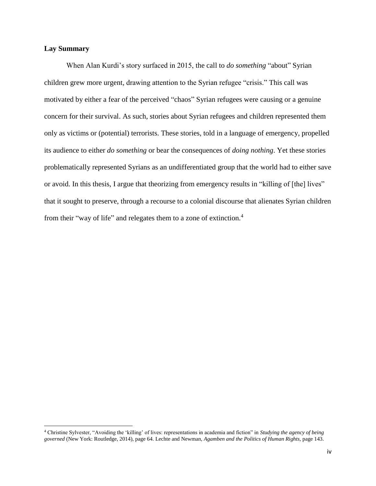## **Lay Summary**

 $\overline{\phantom{a}}$ 

When Alan Kurdi's story surfaced in 2015, the call to *do something* "about" Syrian children grew more urgent, drawing attention to the Syrian refugee "crisis." This call was motivated by either a fear of the perceived "chaos" Syrian refugees were causing or a genuine concern for their survival. As such, stories about Syrian refugees and children represented them only as victims or (potential) terrorists. These stories, told in a language of emergency, propelled its audience to either *do something* or bear the consequences of *doing nothing*. Yet these stories problematically represented Syrians as an undifferentiated group that the world had to either save or avoid. In this thesis, I argue that theorizing from emergency results in "killing of [the] lives" that it sought to preserve, through a recourse to a colonial discourse that alienates Syrian children from their "way of life" and relegates them to a zone of extinction.<sup>4</sup>

<sup>4</sup> Christine Sylvester, "Avoiding the 'killing' of lives: representations in academia and fiction" in *Studying the agency of being governed* (New York: Routledge, 2014), page 64. Lechte and Newman, *Agamben and the Politics of Human Rights,* page 143.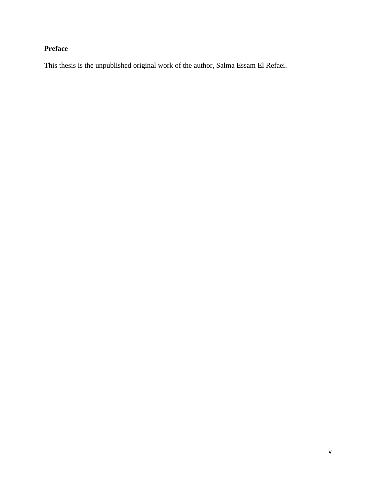# **Preface**

This thesis is the unpublished original work of the author, Salma Essam El Refaei.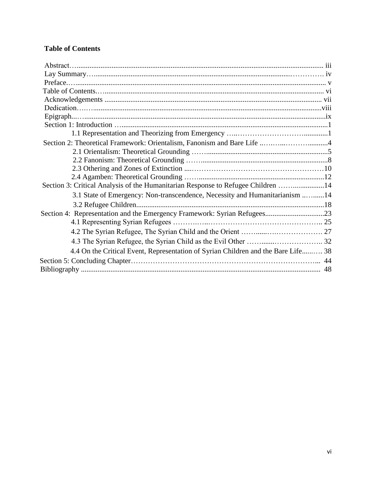# **Table of Contents**

| Section 2: Theoretical Framework: Orientalism, Fanonism and Bare Life 4           |
|-----------------------------------------------------------------------------------|
|                                                                                   |
|                                                                                   |
|                                                                                   |
|                                                                                   |
| Section 3: Critical Analysis of the Humanitarian Response to Refugee Children 14  |
| 3.1 State of Emergency: Non-transcendence, Necessity and Humanitarianism 14       |
|                                                                                   |
|                                                                                   |
|                                                                                   |
|                                                                                   |
|                                                                                   |
| 4.4 On the Critical Event, Representation of Syrian Children and the Bare Life 38 |
|                                                                                   |
|                                                                                   |
|                                                                                   |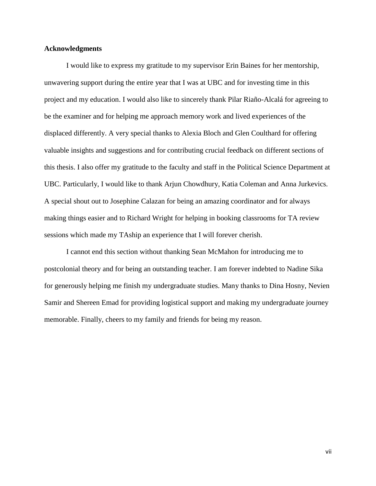## **Acknowledgments**

I would like to express my gratitude to my supervisor Erin Baines for her mentorship, unwavering support during the entire year that I was at UBC and for investing time in this project and my education. I would also like to sincerely thank Pilar Riaño-Alcalá for agreeing to be the examiner and for helping me approach memory work and lived experiences of the displaced differently. A very special thanks to Alexia Bloch and Glen Coulthard for offering valuable insights and suggestions and for contributing crucial feedback on different sections of this thesis. I also offer my gratitude to the faculty and staff in the Political Science Department at UBC. Particularly, I would like to thank Arjun Chowdhury, Katia Coleman and Anna Jurkevics. A special shout out to Josephine Calazan for being an amazing coordinator and for always making things easier and to Richard Wright for helping in booking classrooms for TA review sessions which made my TAship an experience that I will forever cherish.

I cannot end this section without thanking Sean McMahon for introducing me to postcolonial theory and for being an outstanding teacher. I am forever indebted to Nadine Sika for generously helping me finish my undergraduate studies. Many thanks to Dina Hosny, Nevien Samir and Shereen Emad for providing logistical support and making my undergraduate journey memorable. Finally, cheers to my family and friends for being my reason.

vii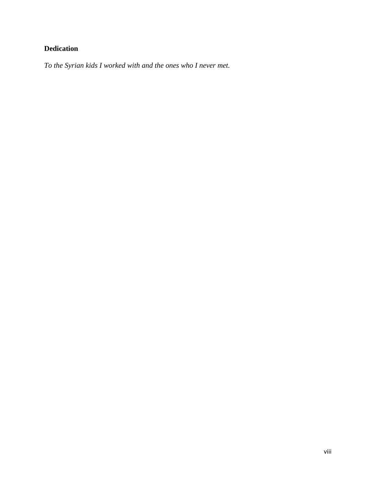# **Dedication**

*To the Syrian kids I worked with and the ones who I never met.*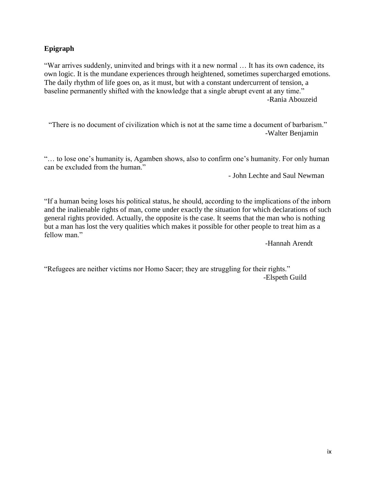# **Epigraph**

"War arrives suddenly, uninvited and brings with it a new normal … It has its own cadence, its own logic. It is the mundane experiences through heightened, sometimes supercharged emotions. The daily rhythm of life goes on, as it must, but with a constant undercurrent of tension, a baseline permanently shifted with the knowledge that a single abrupt event at any time." -Rania Abouzeid

"There is no document of civilization which is not at the same time a document of barbarism." -Walter Benjamin

"… to lose one's humanity is, Agamben shows, also to confirm one's humanity. For only human can be excluded from the human."

- John Lechte and Saul Newman

"If a human being loses his political status, he should, according to the implications of the inborn and the inalienable rights of man, come under exactly the situation for which declarations of such general rights provided. Actually, the opposite is the case. It seems that the man who is nothing but a man has lost the very qualities which makes it possible for other people to treat him as a fellow man."

-Hannah Arendt

"Refugees are neither victims nor Homo Sacer; they are struggling for their rights." -Elspeth Guild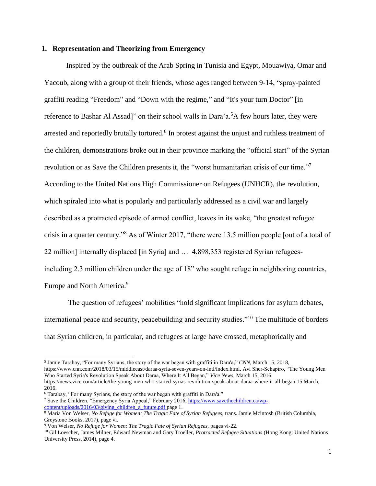## **1. Representation and Theorizing from Emergency**

Inspired by the outbreak of the Arab Spring in Tunisia and Egypt, Mouawiya, Omar and Yacoub, along with a group of their friends, whose ages ranged between 9-14, "spray-painted graffiti reading "Freedom" and "Down with the regime," and "It's your turn Doctor" [in reference to Bashar Al Assad]" on their school walls in Dara'a.<sup>5</sup>A few hours later, they were arrested and reportedly brutally tortured.<sup>6</sup> In protest against the unjust and ruthless treatment of the children, demonstrations broke out in their province marking the "official start" of the Syrian revolution or as Save the Children presents it, the "worst humanitarian crisis of our time."<sup>7</sup> According to the United Nations High Commissioner on Refugees (UNHCR), the revolution, which spiraled into what is popularly and particularly addressed as a civil war and largely described as a protracted episode of armed conflict, leaves in its wake, "the greatest refugee crisis in a quarter century." <sup>8</sup> As of Winter 2017, "there were 13.5 million people [out of a total of 22 million] internally displaced [in Syria] and … 4,898,353 registered Syrian refugeesincluding 2.3 million children under the age of 18" who sought refuge in neighboring countries, Europe and North America.<sup>9</sup>

The question of refugees' mobilities "hold significant implications for asylum debates, international peace and security, peacebuilding and security studies."<sup>10</sup> The multitude of borders that Syrian children, in particular, and refugees at large have crossed, metaphorically and

<sup>5</sup> Jamie Tarabay, "For many Syrians, the story of the war began with graffiti in Dara'a," *CNN,* March 15, 2018, https://www.cnn.com/2018/03/15/middleeast/daraa-syria-seven-years-on-intl/index.html. Avi Sher-Schapiro, "The Young Men Who Started Syria's Revolution Speak About Daraa, Where It All Began," *Vice News,* March 15, 2016. https://news.vice.com/article/the-young-men-who-started-syrias-revolution-speak-about-daraa-where-it-all-began 15 March, 2016.

<sup>6</sup> Tarabay, "For many Syrians, the story of the war began with graffiti in Dara'a."

<sup>7</sup> Save the Children, "Emergency Syria Appeal," February 2016, [https://www.savethechildren.ca/wp](https://www.savethechildren.ca/wp-content/uploads/2016/03/giving_children_a_future.pdf)content/uploads/2016/03/giving children a future.pdf page 1.

<sup>8</sup> Maria Von Welser, *No Refuge for Women: The Tragic Fate of Syrian Refugees,* trans. Jamie Mcintosh (British Columbia, Greystone Books, 2017), page vi.

<sup>9</sup> Von Welser, *No Refuge for Women: The Tragic Fate of Syrian Refugees,* pages vi-22.

<sup>10</sup> Gil Loescher, James Milner, Edward Newman and Gary Troeller, *Protracted Refugee Situations* (Hong Kong: United Nations University Press, 2014), page 4.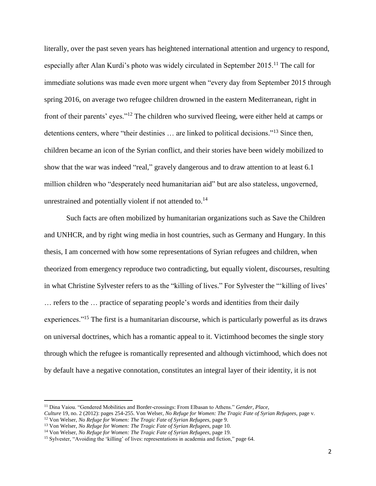literally, over the past seven years has heightened international attention and urgency to respond, especially after Alan Kurdi's photo was widely circulated in September 2015.<sup>11</sup> The call for immediate solutions was made even more urgent when "every day from September 2015 through spring 2016, on average two refugee children drowned in the eastern Mediterranean, right in front of their parents' eyes."<sup>12</sup> The children who survived fleeing, were either held at camps or detentions centers, where "their destinies ... are linked to political decisions."<sup>13</sup> Since then, children became an icon of the Syrian conflict, and their stories have been widely mobilized to show that the war was indeed "real," gravely dangerous and to draw attention to at least 6.1 million children who "desperately need humanitarian aid" but are also stateless, ungoverned, unrestrained and potentially violent if not attended to.<sup>14</sup>

Such facts are often mobilized by humanitarian organizations such as Save the Children and UNHCR, and by right wing media in host countries, such as Germany and Hungary. In this thesis, I am concerned with how some representations of Syrian refugees and children, when theorized from emergency reproduce two contradicting, but equally violent, discourses, resulting in what Christine Sylvester refers to as the "killing of lives." For Sylvester the "'killing of lives' … refers to the … practice of separating people's words and identities from their daily experiences."<sup>15</sup> The first is a humanitarian discourse, which is particularly powerful as its draws on universal doctrines, which has a romantic appeal to it. Victimhood becomes the single story through which the refugee is romantically represented and although victimhood, which does not by default have a negative connotation, constitutes an integral layer of their identity, it is not

<sup>11</sup> Dina Vaiou. "Gendered Mobilities and Border-crossings: From Elbasan to Athens." *Gender, Place,*

*Culture* 19, no. 2 (2012): pages 254-255. Von Welser, *No Refuge for Women: The Tragic Fate of Syrian Refugees,* page v.

<sup>12</sup> Von Welser, *No Refuge for Women: The Tragic Fate of Syrian Refugees,* page 9.

<sup>13</sup> Von Welser, *No Refuge for Women: The Tragic Fate of Syrian Refugees,* page 10.

<sup>14</sup> Von Welser, *No Refuge for Women: The Tragic Fate of Syrian Refugees,* page 19.

<sup>&</sup>lt;sup>15</sup> Sylvester, "Avoiding the 'killing' of lives: representations in academia and fiction," page 64.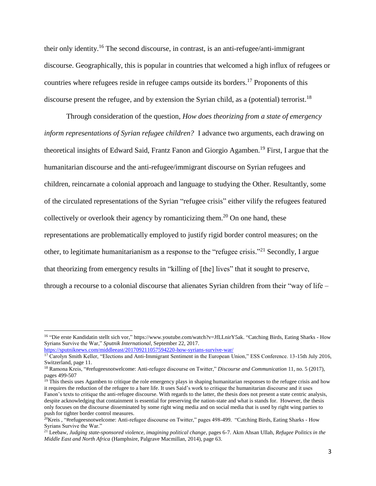their only identity.<sup>16</sup> The second discourse, in contrast, is an anti-refugee/anti-immigrant discourse. Geographically, this is popular in countries that welcomed a high influx of refugees or countries where refugees reside in refugee camps outside its borders.<sup>17</sup> Proponents of this discourse present the refugee, and by extension the Syrian child, as a (potential) terrorist.<sup>18</sup>

Through consideration of the question, *How does theorizing from a state of emergency inform representations of Syrian refugee children?* I advance two arguments, each drawing on theoretical insights of Edward Said, Frantz Fanon and Giorgio Agamben. <sup>19</sup> First, I argue that the humanitarian discourse and the anti-refugee/immigrant discourse on Syrian refugees and children, reincarnate a colonial approach and language to studying the Other. Resultantly, some of the circulated representations of the Syrian "refugee crisis" either vilify the refugees featured collectively or overlook their agency by romanticizing them.<sup>20</sup> On one hand, these representations are problematically employed to justify rigid border control measures; on the other, to legitimate humanitarianism as a response to the "refugee crisis."<sup>21</sup> Secondly, I argue that theorizing from emergency results in "killing of [the] lives" that it sought to preserve, through a recourse to a colonial discourse that alienates Syrian children from their "way of life –

l

<sup>&</sup>lt;sup>16</sup> ["Die erste Kandidatin stellt sich vor," https://www.youtube.com/watch?v=JfLLnirY5ak.](https://www.youtube.com/watch?v=JfLLnirY5ak) "Catching Birds, Eating Sharks - How Syrians Survive the War," *Sputnik International*, September 22, 2017.

<https://sputniknews.com/middleeast/201709211057594220-how-syrians-survive-war/>

<sup>&</sup>lt;sup>17</sup> Carolyn Smith Keller, "Elections and Anti-Immigrant Sentiment in the European Union," ESS Conference. 13-15th July 2016, Switzerland, page 11.

<sup>18</sup> Ramona Kreis, "#refugeesnotwelcome: Anti-refugee discourse on Twitter," *Discourse and Communication* 11, no. 5 (2017), pages 499-507

<sup>&</sup>lt;sup>19</sup> This thesis uses Agamben to critique the role emergency plays in shaping humanitarian responses to the refugee crisis and how it requires the reduction of the refugee to a bare life. It uses Said's work to critique the humanitarian discourse and it uses Fanon's texts to critique the anti-refugee discourse. With regards to the latter, the thesis does not present a state centric analysis, despite acknowledging that containment is essential for preserving the nation-state and what is stands for. However, the thesis only focuses on the discourse disseminated by some right wing media and on social media that is used by right wing parties to push for tighter border control measures.

<sup>&</sup>lt;sup>20</sup>Kreis, "#refugeesnotwelcome: Anti-refugee discourse on Twitter," pages 498-499. "Catching Birds, Eating Sharks - How Syrians Survive the War."

<sup>21</sup> Leebaw, *Judging state-sponsored violence, imagining political change*, pages 6-7. Akm Ahsan Ullah, *Refugee Politics in the Middle East and North Africa* (Hamphsire, Palgrave Macmillan, 2014), page 63.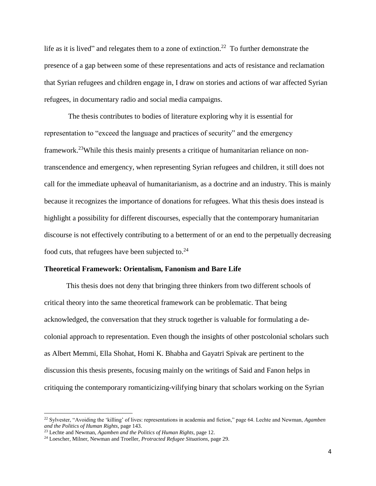life as it is lived" and relegates them to a zone of extinction.<sup>22</sup> To further demonstrate the presence of a gap between some of these representations and acts of resistance and reclamation that Syrian refugees and children engage in, I draw on stories and actions of war affected Syrian refugees, in documentary radio and social media campaigns.

The thesis contributes to bodies of literature exploring why it is essential for representation to "exceed the language and practices of security" and the emergency framework.<sup>23</sup>While this thesis mainly presents a critique of humanitarian reliance on nontranscendence and emergency, when representing Syrian refugees and children, it still does not call for the immediate upheaval of humanitarianism, as a doctrine and an industry. This is mainly because it recognizes the importance of donations for refugees. What this thesis does instead is highlight a possibility for different discourses, especially that the contemporary humanitarian discourse is not effectively contributing to a betterment of or an end to the perpetually decreasing food cuts, that refugees have been subjected to. $24$ 

#### **Theoretical Framework: Orientalism, Fanonism and Bare Life**

This thesis does not deny that bringing three thinkers from two different schools of critical theory into the same theoretical framework can be problematic. That being acknowledged, the conversation that they struck together is valuable for formulating a decolonial approach to representation. Even though the insights of other postcolonial scholars such as Albert Memmi, Ella Shohat, Homi K. Bhabha and Gayatri Spivak are pertinent to the discussion this thesis presents, focusing mainly on the writings of Said and Fanon helps in critiquing the contemporary romanticizing-vilifying binary that scholars working on the Syrian

<sup>22</sup> Sylvester, "Avoiding the 'killing' of lives: representations in academia and fiction," page 64. Lechte and Newman, *Agamben and the Politics of Human Rights,* page 143.

<sup>23</sup> Lechte and Newman, *Agamben and the Politics of Human Rights,* page 12.

<sup>24</sup> Loescher, Milner, Newman and Troeller, *Protracted Refugee Situations*, page 29.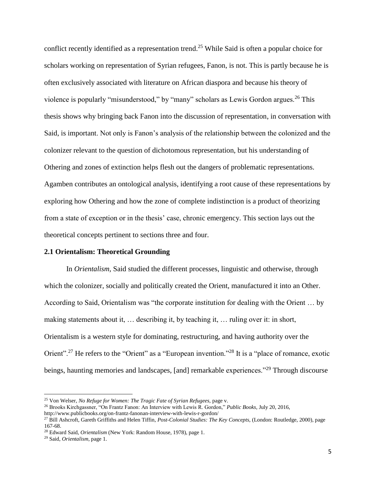conflict recently identified as a representation trend.<sup>25</sup> While Said is often a popular choice for scholars working on representation of Syrian refugees, Fanon, is not. This is partly because he is often exclusively associated with literature on African diaspora and because his theory of violence is popularly "misunderstood," by "many" scholars as Lewis Gordon argues.<sup>26</sup> This thesis shows why bringing back Fanon into the discussion of representation, in conversation with Said, is important. Not only is Fanon's analysis of the relationship between the colonized and the colonizer relevant to the question of dichotomous representation, but his understanding of Othering and zones of extinction helps flesh out the dangers of problematic representations. Agamben contributes an ontological analysis, identifying a root cause of these representations by exploring how Othering and how the zone of complete indistinction is a product of theorizing from a state of exception or in the thesis' case, chronic emergency. This section lays out the theoretical concepts pertinent to sections three and four.

#### **2.1 Orientalism: Theoretical Grounding**

In *Orientalism,* Said studied the different processes, linguistic and otherwise, through which the colonizer, socially and politically created the Orient, manufactured it into an Other. According to Said, Orientalism was "the corporate institution for dealing with the Orient … by making statements about it, … describing it, by teaching it, … ruling over it: in short, Orientalism is a western style for dominating, restructuring, and having authority over the Orient".<sup>27</sup> He refers to the "Orient" as a "European invention."<sup>28</sup> It is a "place of romance, exotic beings, haunting memories and landscapes, [and] remarkable experiences."<sup>29</sup> Through discourse

l

<sup>25</sup> Von Welser, *No Refuge for Women: The Tragic Fate of Syrian Refugees,* page v.

<sup>26</sup> Brooks Kirchgassner, "On Frantz Fanon: An Interview with Lewis R. Gordon," *Public Books,* July 20, 2016,

http://www.publicbooks.org/on-frantz-fanonan-interview-with-lewis-r-gordon/

<sup>27</sup> Bill Ashcroft, Gareth Griffiths and Helen Tiffin, *Post-Colonial Studies: The Key Concepts*, (London: Routledge, 2000), page 167-68.

<sup>28</sup> Edward Said, *Orientalism* (New York: Random House, 1978), page 1.

<sup>29</sup> Said, *Orientalism,* page 1.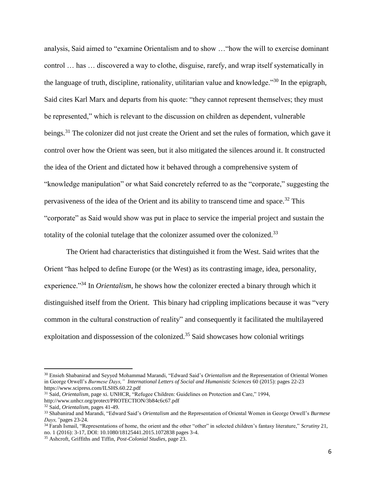analysis, Said aimed to "examine Orientalism and to show …"how the will to exercise dominant control … has … discovered a way to clothe, disguise, rarefy, and wrap itself systematically in the language of truth, discipline, rationality, utilitarian value and knowledge."<sup>30</sup> In the epigraph, Said cites Karl Marx and departs from his quote: "they cannot represent themselves; they must be represented," which is relevant to the discussion on children as dependent, vulnerable beings.<sup>31</sup> The colonizer did not just create the Orient and set the rules of formation, which gave it control over how the Orient was seen, but it also mitigated the silences around it. It constructed the idea of the Orient and dictated how it behaved through a comprehensive system of "knowledge manipulation" or what Said concretely referred to as the "corporate," suggesting the pervasiveness of the idea of the Orient and its ability to transcend time and space.<sup>32</sup> This "corporate" as Said would show was put in place to service the imperial project and sustain the totality of the colonial tutelage that the colonizer assumed over the colonized.<sup>33</sup>

The Orient had characteristics that distinguished it from the West. Said writes that the Orient "has helped to define Europe (or the West) as its contrasting image, idea, personality, experience."<sup>34</sup> In *Orientalism*, he shows how the colonizer erected a binary through which it distinguished itself from the Orient. This binary had crippling implications because it was "very common in the cultural construction of reality" and consequently it facilitated the multilayered exploitation and dispossession of the colonized.<sup>35</sup> Said showcases how colonial writings

<sup>30</sup> Ensieh Shabanirad and Seyyed Mohammad Marandi, "Edward Said's *Orientalism* and the Representation of Oriental Women in George Orwell's *Burmese Days," International Letters of Social and Humanistic Sciences* 60 (2015): pages 22-23 <https://www.scipress.com/ILSHS.60.22.pdf>

<sup>&</sup>lt;sup>31</sup> Said, *Orientalism*, page xi. UNHCR, "Refugee Children: Guidelines on Protection and Care," 1994,

http://www.unhcr.org/protect/PROTECTION/3b84c6c67.pdf

<sup>32</sup> Said, *Orientalism*, pages 41-49.

<sup>33</sup> Shabanirad and Marandi, "Edward Said's *Orientalism* and the Representation of Oriental Women in George Orwell's *Burmese Days,"*pages 23-24.

<sup>34</sup> Farah Ismail, "Representations of home, the orient and the other "other" in selected children's fantasy literature," *Scrutiny* 21, no. 1 (2016): 3-17, DOI: 10.1080/18125441.2015.1072838 pages 3-4.

<sup>35</sup> Ashcroft, Griffiths and Tiffin, *Post-Colonial Studies*, page 23.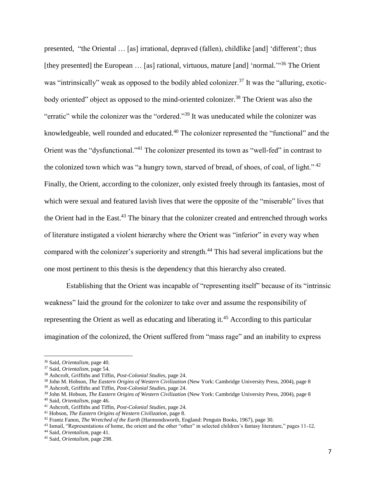presented, "the Oriental … [as] irrational, depraved (fallen), childlike [and] 'different'; thus [they presented] the European ... [as] rational, virtuous, mature [and] 'normal.'"<sup>36</sup> The Orient was "intrinsically" weak as opposed to the bodily abled colonizer.<sup>37</sup> It was the "alluring, exoticbody oriented" object as opposed to the mind-oriented colonizer.<sup>38</sup> The Orient was also the "erratic" while the colonizer was the "ordered."<sup>39</sup> It was uneducated while the colonizer was knowledgeable, well rounded and educated.<sup>40</sup> The colonizer represented the "functional" and the Orient was the "dysfunctional."<sup>41</sup> The colonizer presented its town as "well-fed" in contrast to the colonized town which was "a hungry town, starved of bread, of shoes, of coal, of light."  $42$ Finally, the Orient, according to the colonizer, only existed freely through its fantasies, most of which were sexual and featured lavish lives that were the opposite of the "miserable" lives that the Orient had in the East.<sup>43</sup> The binary that the colonizer created and entrenched through works of literature instigated a violent hierarchy where the Orient was "inferior" in every way when compared with the colonizer's superiority and strength.<sup>44</sup> This had several implications but the one most pertinent to this thesis is the dependency that this hierarchy also created.

Establishing that the Orient was incapable of "representing itself" because of its "intrinsic weakness" laid the ground for the colonizer to take over and assume the responsibility of representing the Orient as well as educating and liberating it.<sup>45</sup> According to this particular imagination of the colonized, the Orient suffered from "mass rage" and an inability to express

<sup>36</sup> Said, *Orientalism*, page 40.

<sup>37</sup> Said, *Orientalism*, page 54.

<sup>38</sup> Ashcroft, Griffiths and Tiffin, *Post-Colonial Studies*, page 24.

<sup>38</sup> John M. Hobson, *The Eastern Origins of Western Civilization* (New York: Cambridge University Press, 2004), page 8

<sup>39</sup> Ashcroft, Griffiths and Tiffin, *Post-Colonial Studies*, page 24.

<sup>39</sup> John M. Hobson, *The Eastern Origins of Western Civilization* (New York: Cambridge University Press, 2004), page 8

<sup>40</sup> Said, *Orientalism*, page 46.

<sup>41</sup> Ashcroft, Griffiths and Tiffin, *Post-Colonial Studies*, page 24.

<sup>41</sup> Hobson, *The Eastern Origins of Western Civilization*, page 8.

<sup>42</sup> Frantz Fanon, *The Wretched of the Earth* (Harmondsworth, England: Penguin Books, 1967), page 30.

<sup>43</sup> Ismail, "Representations of home, the orient and the other "other" in selected children's fantasy literature," pages 11-12.

<sup>44</sup> Said, *Orientalism*, page 41.

<sup>45</sup> Said, *Orientalism*, page 298.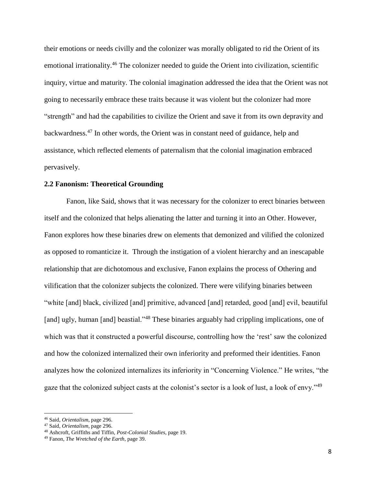their emotions or needs civilly and the colonizer was morally obligated to rid the Orient of its emotional irrationality.<sup>46</sup> The colonizer needed to guide the Orient into civilization, scientific inquiry, virtue and maturity. The colonial imagination addressed the idea that the Orient was not going to necessarily embrace these traits because it was violent but the colonizer had more "strength" and had the capabilities to civilize the Orient and save it from its own depravity and backwardness.<sup>47</sup> In other words, the Orient was in constant need of guidance, help and assistance, which reflected elements of paternalism that the colonial imagination embraced pervasively.

#### **2.2 Fanonism: Theoretical Grounding**

Fanon, like Said, shows that it was necessary for the colonizer to erect binaries between itself and the colonized that helps alienating the latter and turning it into an Other. However, Fanon explores how these binaries drew on elements that demonized and vilified the colonized as opposed to romanticize it. Through the instigation of a violent hierarchy and an inescapable relationship that are dichotomous and exclusive, Fanon explains the process of Othering and vilification that the colonizer subjects the colonized. There were vilifying binaries between "white [and] black, civilized [and] primitive, advanced [and] retarded, good [and] evil, beautiful [and] ugly, human [and] beastial."<sup>48</sup> These binaries arguably had crippling implications, one of which was that it constructed a powerful discourse, controlling how the 'rest' saw the colonized and how the colonized internalized their own inferiority and preformed their identities. Fanon analyzes how the colonized internalizes its inferiority in "Concerning Violence." He writes, "the gaze that the colonized subject casts at the colonist's sector is a look of lust, a look of envy."<sup>49</sup>

<sup>46</sup> Said, *Orientalism*, page 296.

<sup>47</sup> Said, *Orientalism*, page 296.

<sup>48</sup> Ashcroft, Griffiths and Tiffin, *Post-Colonial Studies*, page 19.

<sup>49</sup> Fanon, *The Wretched of the Earth*, page 39.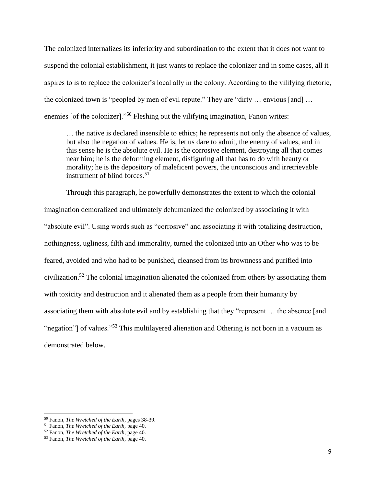The colonized internalizes its inferiority and subordination to the extent that it does not want to suspend the colonial establishment, it just wants to replace the colonizer and in some cases, all it aspires to is to replace the colonizer's local ally in the colony. According to the vilifying rhetoric, the colonized town is "peopled by men of evil repute." They are "dirty … envious [and] … enemies [of the colonizer]."<sup>50</sup> Fleshing out the vilifying imagination, Fanon writes:

… the native is declared insensible to ethics; he represents not only the absence of values, but also the negation of values. He is, let us dare to admit, the enemy of values, and in this sense he is the absolute evil. He is the corrosive element, destroying all that comes near him; he is the deforming element, disfiguring all that has to do with beauty or morality; he is the depository of maleficent powers, the unconscious and irretrievable instrument of blind forces. $51$ 

Through this paragraph, he powerfully demonstrates the extent to which the colonial imagination demoralized and ultimately dehumanized the colonized by associating it with "absolute evil". Using words such as "corrosive" and associating it with totalizing destruction, nothingness, ugliness, filth and immorality, turned the colonized into an Other who was to be feared, avoided and who had to be punished, cleansed from its brownness and purified into civilization.<sup>52</sup> The colonial imagination alienated the colonized from others by associating them with toxicity and destruction and it alienated them as a people from their humanity by associating them with absolute evil and by establishing that they "represent … the absence [and "negation"] of values."<sup>53</sup> This multilayered alienation and Othering is not born in a vacuum as demonstrated below.

<sup>50</sup> Fanon, *The Wretched of the Earth*, pages 38-39.

<sup>51</sup> Fanon, *The Wretched of the Earth,* page 40.

<sup>52</sup> Fanon, *The Wretched of the Earth*, page 40.

<sup>53</sup> Fanon, *The Wretched of the Earth*, page 40.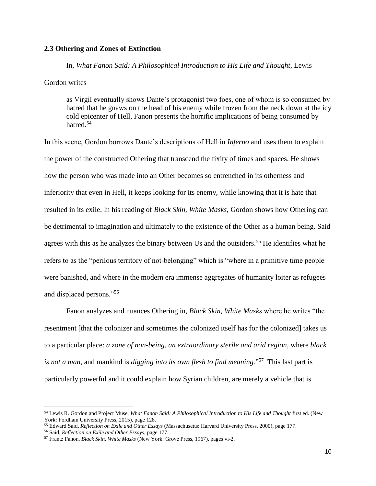## **2.3 Othering and Zones of Extinction**

In, *What Fanon Said: A Philosophical Introduction to His Life and Thought*, Lewis

Gordon writes

as Virgil eventually shows Dante's protagonist two foes, one of whom is so consumed by hatred that he gnaws on the head of his enemy while frozen from the neck down at the icy cold epicenter of Hell, Fanon presents the horrific implications of being consumed by hatred.<sup>54</sup>

In this scene, Gordon borrows Dante's descriptions of Hell in *Inferno* and uses them to explain the power of the constructed Othering that transcend the fixity of times and spaces. He shows how the person who was made into an Other becomes so entrenched in its otherness and inferiority that even in Hell, it keeps looking for its enemy, while knowing that it is hate that resulted in its exile. In his reading of *Black Skin, White Masks*, Gordon shows how Othering can be detrimental to imagination and ultimately to the existence of the Other as a human being. Said agrees with this as he analyzes the binary between Us and the outsiders.<sup>55</sup> He identifies what he refers to as the "perilous territory of not-belonging" which is "where in a primitive time people were banished, and where in the modern era immense aggregates of humanity loiter as refugees and displaced persons."<sup>56</sup>

Fanon analyzes and nuances Othering in, *Black Skin, White Masks* where he writes "the resentment [that the colonizer and sometimes the colonized itself has for the colonized] takes us to a particular place: *a zone of non-being, an extraordinary sterile and arid region*, where *black is not a man*, and mankind is *digging into its own flesh to find meaning*."<sup>57</sup> This last part is particularly powerful and it could explain how Syrian children, are merely a vehicle that is

<sup>54</sup> Lewis R. Gordon and Project Muse, *What Fanon Said: A Philosophical Introduction to His Life and Thought* first ed. (New York: Fordham University Press, 2015), page 128.

<sup>55</sup> Edward Said, *Reflection on Exile and Other Essays* (Massachusetts: Harvard University Press, 2000), page 177.

<sup>56</sup> Said, *Reflection on Exile and Other Essays,* page 177.

<sup>57</sup> Frantz Fanon, *Black Skin, White Masks* (New York: Grove Press, 1967), pages vi-2.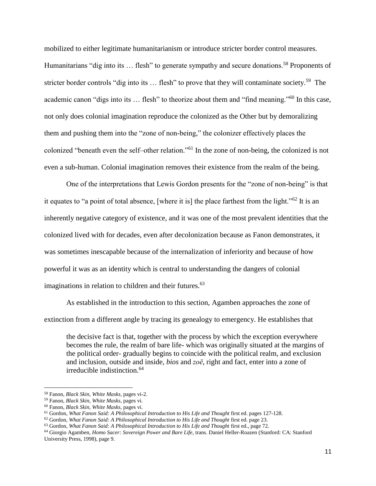mobilized to either legitimate humanitarianism or introduce stricter border control measures. Humanitarians "dig into its ... flesh" to generate sympathy and secure donations.<sup>58</sup> Proponents of stricter border controls "dig into its ... flesh" to prove that they will contaminate society.<sup>59</sup> The academic canon "digs into its ... flesh" to theorize about them and "find meaning."<sup>60</sup> In this case, not only does colonial imagination reproduce the colonized as the Other but by demoralizing them and pushing them into the "zone of non-being," the colonizer effectively places the colonized "beneath even the self–other relation."<sup>61</sup> In the zone of non-being, the colonized is not even a sub-human. Colonial imagination removes their existence from the realm of the being.

One of the interpretations that Lewis Gordon presents for the "zone of non-being" is that it equates to "a point of total absence, [where it is] the place farthest from the light."<sup>62</sup> It is an inherently negative category of existence, and it was one of the most prevalent identities that the colonized lived with for decades, even after decolonization because as Fanon demonstrates, it was sometimes inescapable because of the internalization of inferiority and because of how powerful it was as an identity which is central to understanding the dangers of colonial imaginations in relation to children and their futures.<sup>63</sup>

As established in the introduction to this section, Agamben approaches the zone of extinction from a different angle by tracing its genealogy to emergency. He establishes that

the decisive fact is that, together with the process by which the exception everywhere becomes the rule, the realm of bare life- which was originally situated at the margins of the political order- gradually begins to coincide with the political realm, and exclusion and inclusion, outside and inside, *bios* and *zoē*, right and fact, enter into a zone of irreducible indistinction.<sup>64</sup>

<sup>58</sup> Fanon, *Black Skin, White Masks,* pages vi-2.

<sup>59</sup> Fanon, *Black Skin, White Masks,* pages vi.

<sup>60</sup> Fanon, *Black Skin, White Masks,* pages vi.

<sup>61</sup> Gordon, *What Fanon Said: A Philosophical Introduction to His Life and Thought* first ed. pages 127-128.

<sup>62</sup> Gordon, *What Fanon Said: A Philosophical Introduction to His Life and Thought* first ed. page 23.

<sup>63</sup> Gordon, *What Fanon Said: A Philosophical Introduction to His Life and Thought* first ed., page 72.

<sup>64</sup> Giorgio Agamben, *Homo Sacer: Sovereign Power and Bare Life*, trans. Daniel Heller-Roazen (Stanford: CA: Stanford University Press, 1998), page 9.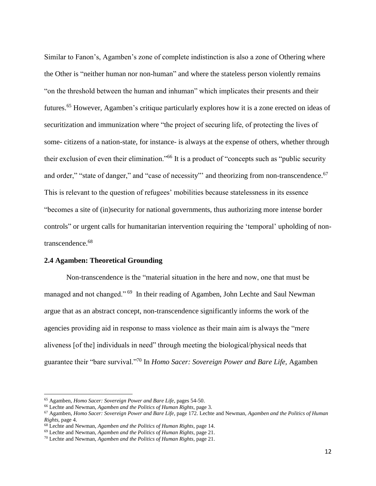Similar to Fanon's, Agamben's zone of complete indistinction is also a zone of Othering where the Other is "neither human nor non-human" and where the stateless person violently remains "on the threshold between the human and inhuman" which implicates their presents and their futures. <sup>65</sup> However, Agamben's critique particularly explores how it is a zone erected on ideas of securitization and immunization where "the project of securing life, of protecting the lives of some- citizens of a nation-state, for instance- is always at the expense of others, whether through their exclusion of even their elimination."<sup>66</sup> It is a product of "concepts such as "public security and order," "state of danger," and "case of necessity" and theorizing from non-transcendence.<sup>67</sup> This is relevant to the question of refugees' mobilities because statelessness in its essence "becomes a site of (in)security for national governments, thus authorizing more intense border controls" or urgent calls for humanitarian intervention requiring the 'temporal' upholding of nontranscendence. 68

#### **2.4 Agamben: Theoretical Grounding**

Non-transcendence is the "material situation in the here and now, one that must be managed and not changed."<sup>69</sup> In their reading of Agamben, John Lechte and Saul Newman argue that as an abstract concept, non-transcendence significantly informs the work of the agencies providing aid in response to mass violence as their main aim is always the "mere aliveness [of the] individuals in need" through meeting the biological/physical needs that guarantee their "bare survival."<sup>70</sup> In *Homo Sacer: Sovereign Power and Bare Life,* Agamben

l

<sup>65</sup> Agamben, *Homo Sacer: Sovereign Power and Bare Life*, pages 54-50.

<sup>66</sup> Lechte and Newman, *Agamben and the Politics of Human Rights,* page 3.

<sup>67</sup> Agamben, *Homo Sacer: Sovereign Power and Bare Life*, page 172. Lechte and Newman, *Agamben and the Politics of Human Rights,* page 4.

<sup>68</sup> Lechte and Newman, *Agamben and the Politics of Human Rights,* page 14.

<sup>69</sup> Lechte and Newman, *Agamben and the Politics of Human Rights,* page 21.

<sup>70</sup> Lechte and Newman, *Agamben and the Politics of Human Rights,* page 21.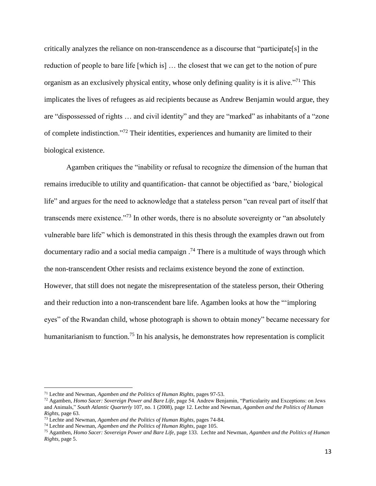critically analyzes the reliance on non-transcendence as a discourse that "participate[s] in the reduction of people to bare life [which is] … the closest that we can get to the notion of pure organism as an exclusively physical entity, whose only defining quality is it is alive."<sup>71</sup> This implicates the lives of refugees as aid recipients because as Andrew Benjamin would argue, they are "dispossessed of rights … and civil identity" and they are "marked" as inhabitants of a "zone of complete indistinction."<sup>72</sup> Their identities, experiences and humanity are limited to their biological existence.

Agamben critiques the "inability or refusal to recognize the dimension of the human that remains irreducible to utility and quantification- that cannot be objectified as 'bare,' biological life" and argues for the need to acknowledge that a stateless person "can reveal part of itself that transcends mere existence."<sup>73</sup> In other words, there is no absolute sovereignty or "an absolutely vulnerable bare life" which is demonstrated in this thesis through the examples drawn out from documentary radio and a social media campaign .<sup>74</sup> There is a multitude of ways through which the non-transcendent Other resists and reclaims existence beyond the zone of extinction. However, that still does not negate the misrepresentation of the stateless person, their Othering and their reduction into a non-transcendent bare life. Agamben looks at how the "'imploring eyes" of the Rwandan child, whose photograph is shown to obtain money" became necessary for humanitarianism to function.<sup>75</sup> In his analysis, he demonstrates how representation is complicit

<sup>71</sup> Lechte and Newman, *Agamben and the Politics of Human Rights,* pages 97-53.

<sup>72</sup> Agamben, *Homo Sacer: Sovereign Power and Bare Life*, page 54. Andrew Benjamin, "Particularity and Exceptions: on Jews and Animals," *South Atlantic Quarterly* 107, no. 1 (2008), page 12. Lechte and Newman, *Agamben and the Politics of Human Rights,* page 63.

<sup>73</sup> Lechte and Newman, *Agamben and the Politics of Human Rights,* pages 74-84.

<sup>74</sup> Lechte and Newman, *Agamben and the Politics of Human Rights,* page 105.

<sup>75</sup> Agamben, *Homo Sacer: Sovereign Power and Bare Life*, page 133. Lechte and Newman, *Agamben and the Politics of Human Rights*, page 5.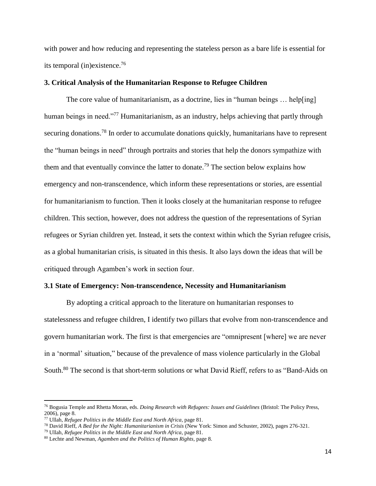with power and how reducing and representing the stateless person as a bare life is essential for its temporal (in)existence. 76

#### **3. Critical Analysis of the Humanitarian Response to Refugee Children**

The core value of humanitarianism, as a doctrine, lies in "human beings … help[ing] human beings in need."<sup>77</sup> Humanitarianism, as an industry, helps achieving that partly through securing donations.<sup>78</sup> In order to accumulate donations quickly, humanitarians have to represent the "human beings in need" through portraits and stories that help the donors sympathize with them and that eventually convince the latter to donate.<sup>79</sup> The section below explains how emergency and non-transcendence, which inform these representations or stories, are essential for humanitarianism to function. Then it looks closely at the humanitarian response to refugee children. This section, however, does not address the question of the representations of Syrian refugees or Syrian children yet. Instead, it sets the context within which the Syrian refugee crisis, as a global humanitarian crisis, is situated in this thesis. It also lays down the ideas that will be critiqued through Agamben's work in section four.

#### **3.1 State of Emergency: Non-transcendence, Necessity and Humanitarianism**

By adopting a critical approach to the literature on humanitarian responses to statelessness and refugee children, I identify two pillars that evolve from non-transcendence and govern humanitarian work. The first is that emergencies are "omnipresent [where] we are never in a 'normal' situation," because of the prevalence of mass violence particularly in the Global South.<sup>80</sup> The second is that short-term solutions or what David Rieff, refers to as "Band-Aids on

<sup>76</sup> Bogusia Temple and Rhetta Moran, eds. *Doing Research with Refugees: Issues and Guidelines* (Bristol: The Policy Press, 2006), page 8.

<sup>77</sup> Ullah, *Refugee Politics in the Middle East and North Africa*, page 81.

<sup>78</sup> David Rieff, *A Bed for the Night: Humanitarianism in Crisis* (New York: Simon and Schuster, 2002), pages 276-321.

<sup>79</sup> Ullah, *Refugee Politics in the Middle East and North Africa*, page 81.

<sup>80</sup> Lechte and Newman, *Agamben and the Politics of Human Rights,* page 8.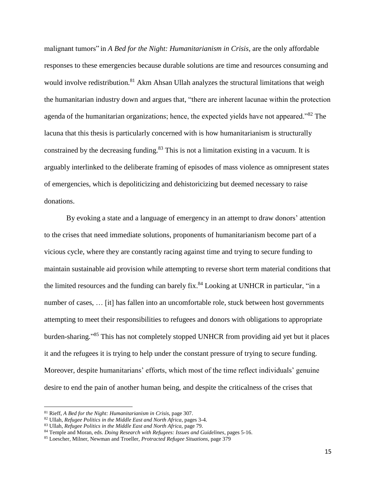malignant tumors" in *A Bed for the Night: Humanitarianism in Crisis,* are the only affordable responses to these emergencies because durable solutions are time and resources consuming and would involve redistribution*.* <sup>81</sup> Akm Ahsan Ullah analyzes the structural limitations that weigh the humanitarian industry down and argues that, "there are inherent lacunae within the protection agenda of the humanitarian organizations; hence, the expected yields have not appeared."<sup>82</sup> The lacuna that this thesis is particularly concerned with is how humanitarianism is structurally constrained by the decreasing funding.<sup>83</sup> This is not a limitation existing in a vacuum. It is arguably interlinked to the deliberate framing of episodes of mass violence as omnipresent states of emergencies, which is depoliticizing and dehistoricizing but deemed necessary to raise donations.

By evoking a state and a language of emergency in an attempt to draw donors' attention to the crises that need immediate solutions, proponents of humanitarianism become part of a vicious cycle, where they are constantly racing against time and trying to secure funding to maintain sustainable aid provision while attempting to reverse short term material conditions that the limited resources and the funding can barely fix.<sup>84</sup> Looking at UNHCR in particular, "in a number of cases, ... [it] has fallen into an uncomfortable role, stuck between host governments attempting to meet their responsibilities to refugees and donors with obligations to appropriate burden-sharing." <sup>85</sup> This has not completely stopped UNHCR from providing aid yet but it places it and the refugees it is trying to help under the constant pressure of trying to secure funding. Moreover, despite humanitarians' efforts, which most of the time reflect individuals' genuine desire to end the pain of another human being, and despite the criticalness of the crises that

<sup>81</sup> Rieff, *A Bed for the Night: Humanitarianism in Crisis,* page 307.

<sup>82</sup> Ullah, *Refugee Politics in the Middle East and North Africa*, pages 3-4.

<sup>83</sup> Ullah, *Refugee Politics in the Middle East and North Africa,* page 79.

<sup>84</sup> Temple and Moran, eds. *Doing Research with Refugees: Issues and Guidelines*, pages 5-16.

<sup>85</sup> Loescher, Milner, Newman and Troeller, *Protracted Refugee Situations*, page 379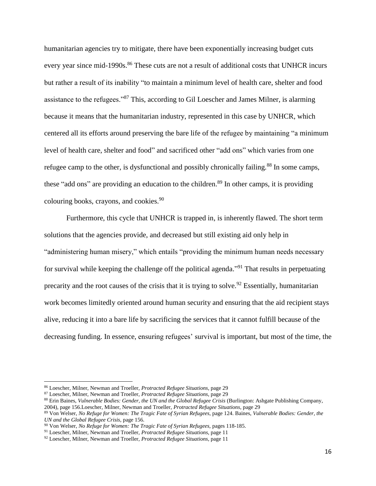humanitarian agencies try to mitigate, there have been exponentially increasing budget cuts every year since mid-1990s.<sup>86</sup> These cuts are not a result of additional costs that UNHCR incurs but rather a result of its inability "to maintain a minimum level of health care, shelter and food assistance to the refugees."<sup>87</sup> This, according to Gil Loescher and James Milner, is alarming because it means that the humanitarian industry, represented in this case by UNHCR, which centered all its efforts around preserving the bare life of the refugee by maintaining "a minimum level of health care, shelter and food" and sacrificed other "add ons" which varies from one refugee camp to the other, is dysfunctional and possibly chronically failing.<sup>88</sup> In some camps, these "add ons" are providing an education to the children.<sup>89</sup> In other camps, it is providing colouring books, crayons, and cookies.<sup>90</sup>

Furthermore, this cycle that UNHCR is trapped in, is inherently flawed. The short term solutions that the agencies provide, and decreased but still existing aid only help in "administering human misery," which entails "providing the minimum human needs necessary for survival while keeping the challenge off the political agenda."<sup>91</sup> That results in perpetuating precarity and the root causes of the crisis that it is trying to solve.<sup>92</sup> Essentially, humanitarian work becomes limitedly oriented around human security and ensuring that the aid recipient stays alive, reducing it into a bare life by sacrificing the services that it cannot fulfill because of the decreasing funding. In essence, ensuring refugees' survival is important, but most of the time, the

l

<sup>86</sup> Loescher, Milner, Newman and Troeller, *Protracted Refugee Situations*, page 29

<sup>87</sup> Loescher, Milner, Newman and Troeller, *Protracted Refugee Situations*, page 29

<sup>88</sup> Erin Baines, *Vulnerable Bodies: Gender, the UN and the Global Refugee Crisis* (Burlington: Ashgate Publishing Company, 2004), page 156.Loescher, Milner, Newman and Troeller, *Protracted Refugee Situations*, page 29

<sup>89</sup> Von Welser, *No Refuge for Women: The Tragic Fate of Syrian Refugees,* page 124. Baines, *Vulnerable Bodies: Gender, the UN and the Global Refugee Crisis,* page 156.

<sup>90</sup> Von Welser, *No Refuge for Women: The Tragic Fate of Syrian Refugees,* pages 118-185.

<sup>91</sup> Loescher, Milner, Newman and Troeller, *Protracted Refugee Situations*, page 11

<sup>92</sup> Loescher, Milner, Newman and Troeller, *Protracted Refugee Situations*, page 11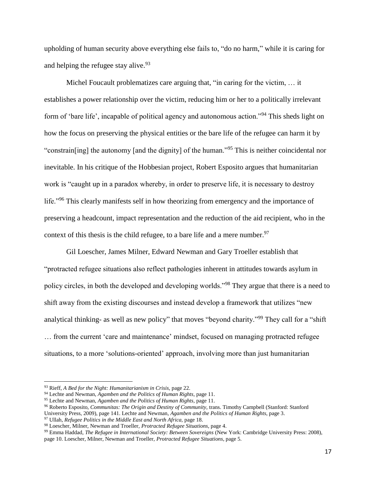upholding of human security above everything else fails to, "do no harm," while it is caring for and helping the refugee stay alive.<sup>93</sup>

Michel Foucault problematizes care arguing that, "in caring for the victim, … it establishes a power relationship over the victim, reducing him or her to a politically irrelevant form of 'bare life', incapable of political agency and autonomous action."<sup>94</sup> This sheds light on how the focus on preserving the physical entities or the bare life of the refugee can harm it by "constrain[ing] the autonomy [and the dignity] of the human."<sup>95</sup> This is neither coincidental nor inevitable. In his critique of the Hobbesian project, Robert Esposito argues that humanitarian work is "caught up in a paradox whereby, in order to preserve life, it is necessary to destroy life."<sup>96</sup> This clearly manifests self in how theorizing from emergency and the importance of preserving a headcount, impact representation and the reduction of the aid recipient, who in the context of this thesis is the child refugee, to a bare life and a mere number.<sup>97</sup>

Gil Loescher, James Milner, Edward Newman and Gary Troeller establish that "protracted refugee situations also reflect pathologies inherent in attitudes towards asylum in policy circles, in both the developed and developing worlds."<sup>98</sup> They argue that there is a need to shift away from the existing discourses and instead develop a framework that utilizes "new analytical thinking- as well as new policy" that moves "beyond charity."<sup>99</sup> They call for a "shift" … from the current 'care and maintenance' mindset, focused on managing protracted refugee situations, to a more 'solutions-oriented' approach, involving more than just humanitarian

l

<sup>99</sup> Emma Haddad, *The Refugee in International Society: Between Sovereigns* (New York: Cambridge University Press: 2008), page 10. Loescher, Milner, Newman and Troeller, *Protracted Refugee Situations*, page 5.

<sup>93</sup> Rieff, *A Bed for the Night: Humanitarianism in Crisis,* page 22.

<sup>94</sup> Lechte and Newman, *Agamben and the Politics of Human Rights,* page 11.

<sup>95</sup> Lechte and Newman, *Agamben and the Politics of Human Rights,* page 11.

<sup>96</sup> Roberto Esposito, *Communitas: The Origin and Destiny of Community,* trans. Timothy Campbell (Stanford: Stanford

University Press, 2009), page 141. Lechte and Newman, *Agamben and the Politics of Human Rights,* page 3.

<sup>97</sup> Ullah, *Refugee Politics in the Middle East and North Africa,* page 18.

<sup>98</sup> Loescher, Milner, Newman and Troeller, *Protracted Refugee Situations*, page 4.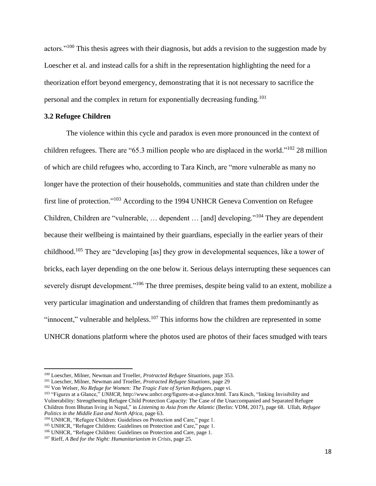actors."<sup>100</sup> This thesis agrees with their diagnosis, but adds a revision to the suggestion made by Loescher et al. and instead calls for a shift in the representation highlighting the need for a theorization effort beyond emergency, demonstrating that it is not necessary to sacrifice the personal and the complex in return for exponentially decreasing funding.<sup>101</sup>

## **3.2 Refugee Children**

 $\overline{\phantom{a}}$ 

The violence within this cycle and paradox is even more pronounced in the context of children refugees. There are "65.3 million people who are displaced in the world."<sup>102</sup> 28 million of which are child refugees who, according to Tara Kinch, are "more vulnerable as many no longer have the protection of their households, communities and state than children under the first line of protection."<sup>103</sup> According to the 1994 UNHCR Geneva Convention on Refugee Children, Children are "vulnerable, … dependent … [and] developing."<sup>104</sup> They are dependent because their wellbeing is maintained by their guardians, especially in the earlier years of their childhood.<sup>105</sup> They are "developing [as] they grow in developmental sequences, like a tower of bricks, each layer depending on the one below it. Serious delays interrupting these sequences can severely disrupt development."<sup>106</sup> The three premises, despite being valid to an extent, mobilize a very particular imagination and understanding of children that frames them predominantly as "innocent," vulnerable and helpless.<sup>107</sup> This informs how the children are represented in some UNHCR donations platform where the photos used are photos of their faces smudged with tears

<sup>100</sup> Loescher, Milner, Newman and Troeller, *Protracted Refugee Situations*, page 353.

<sup>101</sup> Loescher, Milner, Newman and Troeller, *Protracted Refugee Situations*, page 29

<sup>&</sup>lt;sup>102</sup> Von Welser, *No Refuge for Women: The Tragic Fate of Syrian Refugees*, page vi.

<sup>103</sup> "Figures at a Glance," *UNHCR,* [http://www.unhcr.org/figures-at-a-glance.html.](http://www.unhcr.org/figures-at-a-glance.html) Tara Kinch, "linking Invisibility and Vulnerability: Strengthening Refugee Child Protection Capacity: The Case of the Unaccompanied and Separated Refugee Children from Bhutan living in Nepal," in *Listening to Asia from the Atlantic* (Berlin: VDM, 2017), page 68. Ullah, *Refugee Politics in the Middle East and North Africa,* page 63.

<sup>104</sup> UNHCR, "Refugee Children: Guidelines on Protection and Care," page 1.

<sup>&</sup>lt;sup>105</sup> UNHCR, "Refugee Children: Guidelines on Protection and Care," page 1.

<sup>106</sup> UNHCR, "Refugee Children: Guidelines on Protection and Care, page 1.

<sup>107</sup> Rieff, *A Bed for the Night: Humanitarianism in Crisis,* page 25.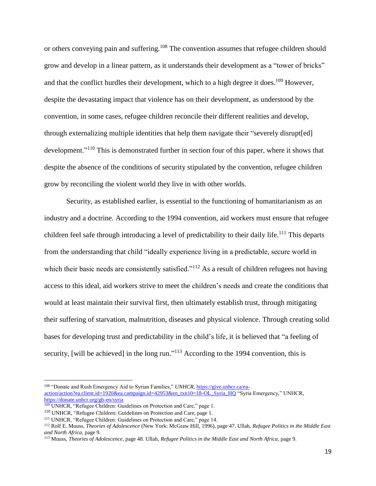or others conveying pain and suffering.<sup>108</sup> The convention assumes that refugee children should grow and develop in a linear pattern, as it understands their development as a "tower of bricks" and that the conflict hurdles their development, which to a high degree it does.<sup>109</sup> However, despite the devastating impact that violence has on their development, as understood by the convention, in some cases, refugee children reconcile their different realities and develop, through externalizing multiple identities that help them navigate their "severely disrupt[ed] development."<sup>110</sup> This is demonstrated further in section four of this paper, where it shows that despite the absence of the conditions of security stipulated by the convention, refugee children grow by reconciling the violent world they live in with other worlds.

Security, as established earlier, is essential to the functioning of humanitarianism as an industry and a doctrine. According to the 1994 convention, aid workers must ensure that refugee children feel safe through introducing a level of predictability to their daily life.<sup>111</sup> This departs from the understanding that child "ideally experience living in a predictable, secure world in which their basic needs are consistently satisfied."<sup>112</sup> As a result of children refugees not having access to this ideal, aid workers strive to meet the children's needs and create the conditions that would at least maintain their survival first, then ultimately establish trust, through mitigating their suffering of starvation, malnutrition, diseases and physical violence. Through creating solid bases for developing trust and predictability in the child's life, it is believed that "a feeling of security, [will be achieved] in the long run."<sup> $113$ </sup> According to the 1994 convention, this is

<sup>108</sup> "Donate and Rush Emergency Aid to Syrian Families," UNHCR, [https://give.unhcr.ca/ea](https://give.unhcr.ca/ea-action/action?ea.client.id=1920&ea.campaign.id=42953&en_txn10=18-OL_Syria_HQ)[action/action?ea.client.id=1920&ea.campaign.id=42953&en\\_txn10=18-OL\\_Syria\\_HQ](https://give.unhcr.ca/ea-action/action?ea.client.id=1920&ea.campaign.id=42953&en_txn10=18-OL_Syria_HQ) "Syria Emergency," UNHCR, <https://donate.unhcr.org/gb-en/syria>

<sup>&</sup>lt;sup>109</sup> UNHCR, "Refugee Children: Guidelines on Protection and Care," page 1.

<sup>110</sup> UNHCR, "Refugee Children: Guidelines on Protection and Care, page 1.

<sup>111</sup> UNHCR, "Refugee Children: Guidelines on Protection and Care," page 14.

<sup>112</sup> Rolf E. Muuss, *Theories of Adolescence* (New York: McGraw Hill, 1996), page 47. Ullah, *Refugee Politics in the Middle East and North Africa,* page 9.

<sup>113</sup> Muuss, *Theories of Adolescence,* page 48. Ullah, *Refugee Politics in the Middle East and North Africa,* page 9.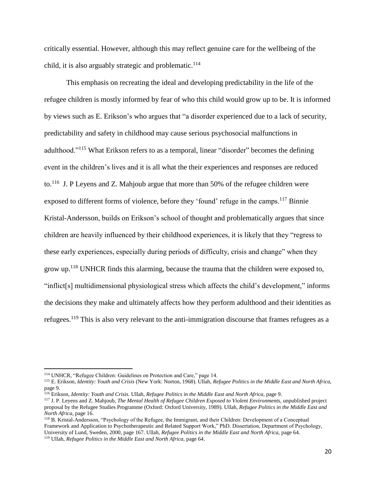critically essential. However, although this may reflect genuine care for the wellbeing of the child, it is also arguably strategic and problematic.<sup>114</sup>

This emphasis on recreating the ideal and developing predictability in the life of the refugee children is mostly informed by fear of who this child would grow up to be. It is informed by views such as E. Erikson's who argues that "a disorder experienced due to a lack of security, predictability and safety in childhood may cause serious psychosocial malfunctions in adulthood."<sup>115</sup> What Erikson refers to as a temporal, linear "disorder" becomes the defining event in the children's lives and it is all what the their experiences and responses are reduced to.<sup>116</sup> J. P Leyens and Z. Mahjoub argue that more than 50% of the refugee children were exposed to different forms of violence, before they 'found' refuge in the camps.<sup>117</sup> Binnie Kristal-Andersson, builds on Erikson's school of thought and problematically argues that since children are heavily influenced by their childhood experiences, it is likely that they "regress to these early experiences, especially during periods of difficulty, crisis and change" when they grow up.<sup>118</sup> UNHCR finds this alarming, because the trauma that the children were exposed to, "inflict[s] multidimensional physiological stress which affects the child's development," informs the decisions they make and ultimately affects how they perform adulthood and their identities as refugees.<sup>119</sup> This is also very relevant to the anti-immigration discourse that frames refugees as a

 $\overline{\phantom{a}}$ 

<sup>118</sup> B. Kristal-Andersson, "Psychology of the Refugee, the Immigrant, and their Children: Development of a Conceptual Framework and Application to Psychotherapeutic and Related Support Work," PhD. Dissertation, Department of Psychology, University of Lund, Sweden, 2000, page 167. Ullah, *Refugee Politics in the Middle East and North Africa,* page 64. <sup>119</sup> Ullah, *Refugee Politics in the Middle East and North Africa*, page 64.

<sup>114</sup> UNHCR, "Refugee Children: Guidelines on Protection and Care," page 14.

<sup>115</sup> E. Erikson, *Identity: Youth and Crisis* (New York: Norton, 1968). Ullah, *Refugee Politics in the Middle East and North Africa,*  page 9.

<sup>116</sup> Erikson, *Identity: Youth and Crisis.* Ullah, *Refugee Politics in the Middle East and North Africa,* page 9.

<sup>117</sup> J. P. Leyens and Z. Mahjoub, *The Mental Health of Refugee Children Exposed to Violent Environments,* unpublished project proposal by the Refugee Studies Programme (Oxford: Oxford University, 1989). Ullah, *Refugee Politics in the Middle East and North Africa,* page 16.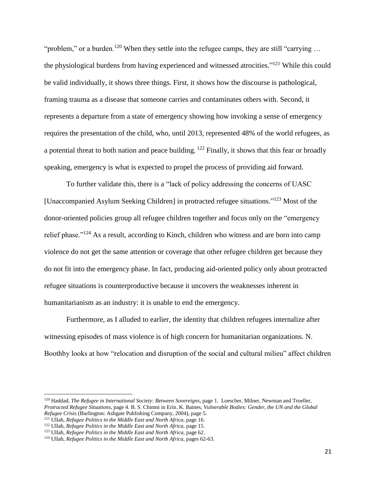"problem," or a burden.<sup>120</sup> When they settle into the refugee camps, they are still "carrying ... the physiological burdens from having experienced and witnessed atrocities."<sup>121</sup> While this could be valid individually, it shows three things. First, it shows how the discourse is pathological, framing trauma as a disease that someone carries and contaminates others with. Second, it represents a departure from a state of emergency showing how invoking a sense of emergency requires the presentation of the child, who, until 2013, represented 48% of the world refugees, as a potential threat to both nation and peace building. <sup>122</sup> Finally, it shows that this fear or broadly speaking, emergency is what is expected to propel the process of providing aid forward.

To further validate this, there is a "lack of policy addressing the concerns of UASC [Unaccompanied Asylum Seeking Children] in protracted refugee situations."<sup>123</sup> Most of the donor-oriented policies group all refugee children together and focus only on the "emergency relief phase."<sup>124</sup> As a result, according to Kinch, children who witness and are born into camp violence do not get the same attention or coverage that other refugee children get because they do not fit into the emergency phase. In fact, producing aid-oriented policy only about protracted refugee situations is counterproductive because it uncovers the weaknesses inherent in humanitarianism as an industry: it is unable to end the emergency.

Furthermore, as I alluded to earlier, the identity that children refugees internalize after witnessing episodes of mass violence is of high concern for humanitarian organizations. N. Boothby looks at how "relocation and disruption of the social and cultural milieu" affect children

<sup>120</sup> Haddad, *The Refugee in International Society: Between Sovereigns*, page 1. Loescher, Milner, Newman and Troeller, *Protracted Refugee Situations*, page 4. B. S. Chimni in Erin. K. Baines, *Vulnerable Bodies: Gender, the UN and the Global Refugee Crisis* (Burlington: Ashgate Publishing Company, 2004), page 5. <sup>121</sup> Ullah, *Refugee Politics in the Middle East and North Africa,* page 16.

l

<sup>&</sup>lt;sup>122</sup> Ullah, *Refugee Politics in the Middle East and North Africa*, page 15.

<sup>123</sup> Ullah, *Refugee Politics in the Middle East and North Africa,* page 62.

<sup>&</sup>lt;sup>124</sup> Ullah, *Refugee Politics in the Middle East and North Africa*, pages 62-63.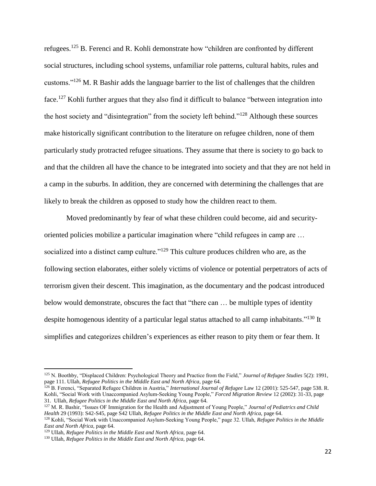refugees.<sup>125</sup> B. Ferenci and R. Kohli demonstrate how "children are confronted by different social structures, including school systems, unfamiliar role patterns, cultural habits, rules and customs."<sup>126</sup> M. R Bashir adds the language barrier to the list of challenges that the children face.<sup>127</sup> Kohli further argues that they also find it difficult to balance "between integration into the host society and "disintegration" from the society left behind."<sup>128</sup> Although these sources make historically significant contribution to the literature on refugee children, none of them particularly study protracted refugee situations. They assume that there is society to go back to and that the children all have the chance to be integrated into society and that they are not held in a camp in the suburbs. In addition, they are concerned with determining the challenges that are likely to break the children as opposed to study how the children react to them.

Moved predominantly by fear of what these children could become, aid and securityoriented policies mobilize a particular imagination where "child refugees in camp are … socialized into a distinct camp culture."<sup>129</sup> This culture produces children who are, as the following section elaborates, either solely victims of violence or potential perpetrators of acts of terrorism given their descent. This imagination, as the documentary and the podcast introduced below would demonstrate, obscures the fact that "there can … be multiple types of identity despite homogenous identity of a particular legal status attached to all camp inhabitants."<sup>130</sup> It simplifies and categorizes children's experiences as either reason to pity them or fear them. It

<sup>125</sup> N. Boothby, "Displaced Children: Psychological Theory and Practice from the Field," *Journal of Refugee Studies* 5(2): 1991, page 111. Ullah, *Refugee Politics in the Middle East and North Africa*, page 64.

<sup>126</sup> B. Ferenci, "Separated Refugee Children in Austria," *International Journal of Refugee* Law 12 (2001): 525-547, page 538. R. Kohli, "Social Work with Unaccompanied Asylum-Seeking Young People," *Forced Migration Review* 12 (2002): 31-33, page 31. Ullah, *Refugee Politics in the Middle East and North Africa,* page 64.

<sup>127</sup> M. R. Bashir, "Issues OF Immigration for the Health and Adjustment of Young People," *Journal of Pediatrics and Child Health* 29 (1993): S42-S45, page S42 Ullah, *Refugee Politics in the Middle East and North Africa,* page 64.

<sup>128</sup> Kohli, "Social Work with Unaccompanied Asylum-Seeking Young People," page 32. Ullah, *Refugee Politics in the Middle East and North Africa,* page 64.

<sup>&</sup>lt;sup>129</sup> Ullah, *Refugee Politics in the Middle East and North Africa*, page 64.

<sup>&</sup>lt;sup>130</sup> Ullah, *Refugee Politics in the Middle East and North Africa*, page 64.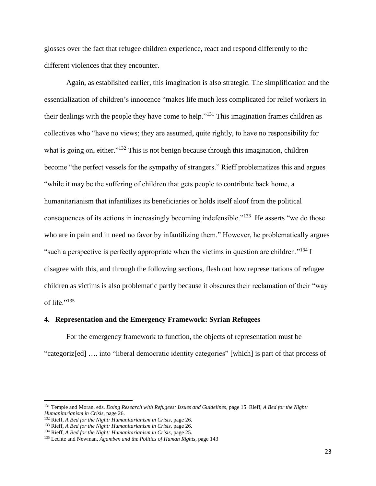glosses over the fact that refugee children experience, react and respond differently to the different violences that they encounter.

Again, as established earlier, this imagination is also strategic. The simplification and the essentialization of children's innocence "makes life much less complicated for relief workers in their dealings with the people they have come to help."<sup>131</sup> This imagination frames children as collectives who "have no views; they are assumed, quite rightly, to have no responsibility for what is going on, either."<sup>132</sup> This is not benign because through this imagination, children become "the perfect vessels for the sympathy of strangers." Rieff problematizes this and argues "while it may be the suffering of children that gets people to contribute back home, a humanitarianism that infantilizes its beneficiaries or holds itself aloof from the political consequences of its actions in increasingly becoming indefensible."<sup>133</sup> He asserts "we do those who are in pain and in need no favor by infantilizing them." However, he problematically argues "such a perspective is perfectly appropriate when the victims in question are children."<sup>134</sup> I disagree with this, and through the following sections, flesh out how representations of refugee children as victims is also problematic partly because it obscures their reclamation of their "way of life."<sup>135</sup>

#### **4. Representation and the Emergency Framework: Syrian Refugees**

For the emergency framework to function, the objects of representation must be "categoriz[ed] …. into "liberal democratic identity categories" [which] is part of that process of

<sup>131</sup> Temple and Moran, eds. *Doing Research with Refugees: Issues and Guidelines*, page 15. Rieff, *A Bed for the Night: Humanitarianism in Crisis,* page 26.

<sup>132</sup> Rieff, *A Bed for the Night: Humanitarianism in Crisis,* page 26.

<sup>133</sup> Rieff, *A Bed for the Night: Humanitarianism in Crisis,* page 26.

<sup>134</sup> Rieff, *A Bed for the Night: Humanitarianism in Crisis,* page 25.

<sup>135</sup> Lechte and Newman, *Agamben and the Politics of Human Rights,* page 143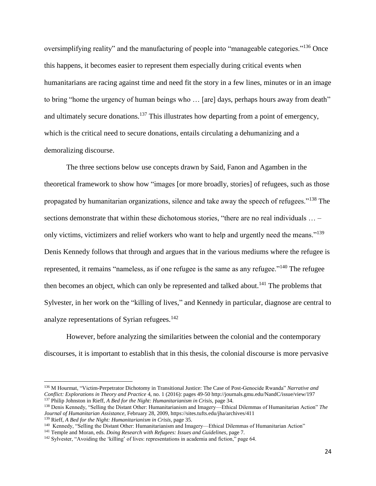oversimplifying reality" and the manufacturing of people into "manageable categories."<sup>136</sup> Once this happens, it becomes easier to represent them especially during critical events when humanitarians are racing against time and need fit the story in a few lines, minutes or in an image to bring "home the urgency of human beings who … [are] days, perhaps hours away from death" and ultimately secure donations.<sup>137</sup> This illustrates how departing from a point of emergency, which is the critical need to secure donations, entails circulating a dehumanizing and a demoralizing discourse.

The three sections below use concepts drawn by Said, Fanon and Agamben in the theoretical framework to show how "images [or more broadly, stories] of refugees, such as those propagated by humanitarian organizations, silence and take away the speech of refugees."<sup>138</sup> The sections demonstrate that within these dichotomous stories, "there are no real individuals ... – only victims, victimizers and relief workers who want to help and urgently need the means."<sup>139</sup> Denis Kennedy follows that through and argues that in the various mediums where the refugee is represented, it remains "nameless, as if one refugee is the same as any refugee."<sup>140</sup> The refugee then becomes an object, which can only be represented and talked about.<sup>141</sup> The problems that Sylvester, in her work on the "killing of lives," and Kennedy in particular, diagnose are central to analyze representations of Syrian refugees. $142$ 

However, before analyzing the similarities between the colonial and the contemporary discourses, it is important to establish that in this thesis, the colonial discourse is more pervasive

l

<sup>136</sup> M Hourmat, "Victim-Perpetrator Dichotomy in Transitional Justice: The Case of Post-Genocide Rwanda" *Narrative and Conflict: Explorations in Theory and Practice* 4, no. 1 (2016): pages 49-50 <http://journals.gmu.edu/NandC/issue/view/197> <sup>137</sup> Philip Johnston in Rieff, *A Bed for the Night: Humanitarianism in Crisis,* page 34.

<sup>138</sup> Denis Kennedy, "Selling the Distant Other: Humanitarianism and Imagery—Ethical Dilemmas of Humanitarian Action" *The Journal of Humanitarian Assistance,* February 28, 2009, https://sites.tufts.edu/jha/archives/411

<sup>139</sup> Rieff, *A Bed for the Night: Humanitarianism in Crisis,* page 35.

<sup>140</sup> Kennedy, "Selling the Distant Other: Humanitarianism and Imagery—Ethical Dilemmas of Humanitarian Action"

<sup>141</sup> Temple and Moran, eds. *Doing Research with Refugees: Issues and Guidelines*, page 7.

<sup>&</sup>lt;sup>142</sup> Sylvester, "Avoiding the 'killing' of lives: representations in academia and fiction," page 64.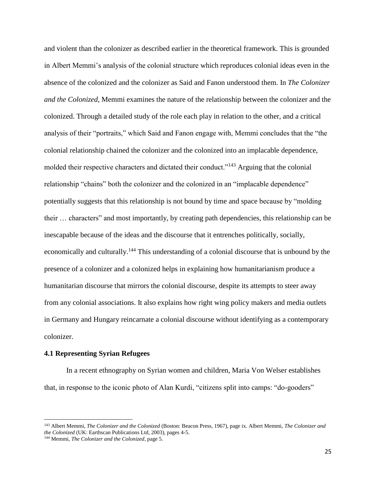and violent than the colonizer as described earlier in the theoretical framework. This is grounded in Albert Memmi's analysis of the colonial structure which reproduces colonial ideas even in the absence of the colonized and the colonizer as Said and Fanon understood them. In *The Colonizer and the Colonized*, Memmi examines the nature of the relationship between the colonizer and the colonized. Through a detailed study of the role each play in relation to the other, and a critical analysis of their "portraits," which Said and Fanon engage with, Memmi concludes that the "the colonial relationship chained the colonizer and the colonized into an implacable dependence, molded their respective characters and dictated their conduct."<sup>143</sup> Arguing that the colonial relationship "chains" both the colonizer and the colonized in an "implacable dependence" potentially suggests that this relationship is not bound by time and space because by "molding their … characters" and most importantly, by creating path dependencies, this relationship can be inescapable because of the ideas and the discourse that it entrenches politically, socially, economically and culturally.<sup>144</sup> This understanding of a colonial discourse that is unbound by the presence of a colonizer and a colonized helps in explaining how humanitarianism produce a humanitarian discourse that mirrors the colonial discourse, despite its attempts to steer away from any colonial associations. It also explains how right wing policy makers and media outlets in Germany and Hungary reincarnate a colonial discourse without identifying as a contemporary colonizer.

#### **4.1 Representing Syrian Refugees**

In a recent ethnography on Syrian women and children, Maria Von Welser establishes that, in response to the iconic photo of Alan Kurdi, "citizens split into camps: "do-gooders"

<sup>143</sup> Albert Memmi, *The Colonizer and the Colonized* (Boston: Beacon Press, 1967), page ix. Albert Memmi, *The Colonizer and the Colonized* (UK: Earthscan Publications Ltd, 2003), pages 4-5.

<sup>144</sup> Memmi, *The Colonizer and the Colonized*, page 5.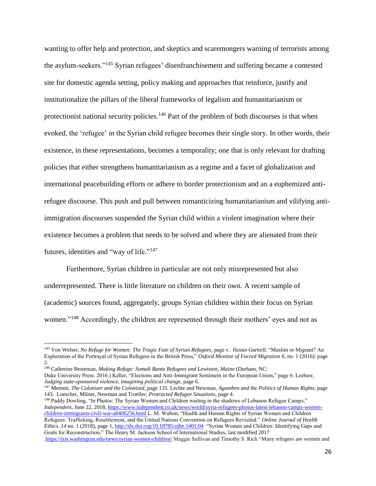wanting to offer help and protection, and skeptics and scaremongers warning of terrorists among the asylum-seekers."<sup>145</sup> Syrian refugees' disenfranchisement and suffering became a contested site for domestic agenda setting, policy making and approaches that reinforce, justify and institutionalize the pillars of the liberal frameworks of legalism and humanitarianism or protectionist national security policies.<sup>146</sup> Part of the problem of both discourses is that when evoked, the 'refugee' in the Syrian child refugee becomes their single story. In other words, their existence, in these representations, becomes a temporality; one that is only relevant for drafting policies that either strengthens humanitarianism as a regime and a facet of globalization and international peacebuilding efforts or adhere to border protectionism and an a euphemized antirefugee discourse. This push and pull between romanticizing humanitarianism and vilifying antiimmigration discourses suspended the Syrian child within a violent imagination where their existence becomes a problem that needs to be solved and where they are alienated from their futures, identities and "way of life."<sup>147</sup>

Furthermore, Syrian children in particular are not only misrepresented but also underrepresented. There is little literature on children on their own. A recent sample of (academic) sources found, aggregately, groups Syrian children within their focus on Syrian women."<sup>148</sup> Accordingly, the children are represented through their mothers' eyes and not as

 $\overline{\phantom{a}}$ 

<sup>148</sup> Paddy Dowling, "In Photos: The Syrian Women and Children waiting in the shadows of Lebanon Refugee Camps," *Independent*, June 22, 2018[, https://www.independent.co.uk/news/world/syria-refugees-photos-latest-lebanon-camps-women](https://www.independent.co.uk/news/world/syria-refugees-photos-latest-lebanon-camps-women-children-immigrants-civil-war-a8406256.html)[children-immigrants-civil-war-a8406256.html](https://www.independent.co.uk/news/world/syria-refugees-photos-latest-lebanon-camps-women-children-immigrants-civil-war-a8406256.html) L. M. Walton, "Health and Human Rights of Syrian Women and Children Refugees: Trafficking, Resettlement, and the United Nations Convention on Refugees Revisited." *Online Journal of Health Ethics, 14* no. 1 (2018), page 1, <http://dx.doi.org/10.18785/ojhe.1401.04> "Syrian Women and Children: Identifying Gaps and Goals for Reconstruction," The Henry M. Jackson School of International Studies, last modified 2017

<sup>&</sup>lt;sup>145</sup> Von Welser, *No Refuge for Women: The Tragic Fate of Syrian Refugees*, page v. Hester Gartrell, "Muslim or Migrant? An Exploration of the Portrayal of Syrian Refugees in the British Press," *Oxford Monitor of Forced Migration* 6, no. 1 (2016): page 2.

<sup>146</sup> Catherine Besteman, *Making Refuge: Somali Bantu Refugees and Lewiston, Maine* (Durham, NC:

Duke University Press. 2016.) Keller, "Elections and Anti-Immigrant Sentiment in the European Union," page 6. Leebaw, *Judging state-sponsored violence, imagining political change*, page 6.

<sup>147</sup> Memmi, *The Colonizer and the Colonized*, page 135. Lechte and Newman, *Agamben and the Politics of Human Rights,* page 143. Loescher, Milner, Newman and Troeller, *Protracted Refugee Situations*, page 4.

[<sup>.</sup>https://jsis.washington.edu/news/syrian-women-children/](https://jsis.washington.edu/news/syrian-women-children/) Maggie Sullivan and Timothy S. Rich "Many refugees are women and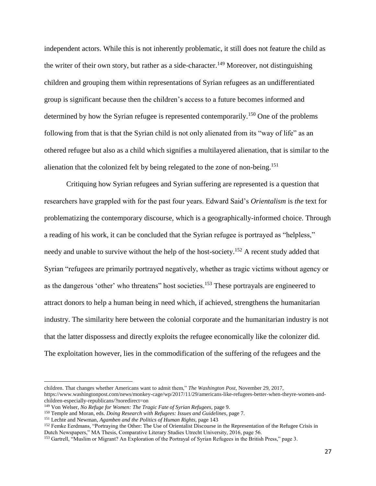independent actors. While this is not inherently problematic, it still does not feature the child as the writer of their own story, but rather as a side-character.<sup>149</sup> Moreover, not distinguishing children and grouping them within representations of Syrian refugees as an undifferentiated group is significant because then the children's access to a future becomes informed and determined by how the Syrian refugee is represented contemporarily.<sup>150</sup> One of the problems following from that is that the Syrian child is not only alienated from its "way of life" as an othered refugee but also as a child which signifies a multilayered alienation, that is similar to the alienation that the colonized felt by being relegated to the zone of non-being. 151

Critiquing how Syrian refugees and Syrian suffering are represented is a question that researchers have grappled with for the past four years. Edward Said's *Orientalism* is *the* text for problematizing the contemporary discourse, which is a geographically-informed choice. Through a reading of his work, it can be concluded that the Syrian refugee is portrayed as "helpless," needy and unable to survive without the help of the host-society.<sup>152</sup> A recent study added that Syrian "refugees are primarily portrayed negatively, whether as tragic victims without agency or as the dangerous 'other' who threatens' host societies.<sup>153</sup> These portrayals are engineered to attract donors to help a human being in need which, if achieved, strengthens the humanitarian industry. The similarity here between the colonial corporate and the humanitarian industry is not that the latter dispossess and directly exploits the refugee economically like the colonizer did. The exploitation however, lies in the commodification of the suffering of the refugees and the

l

children. That changes whether Americans want to admit them," *The Washington Post,* November 29, 2017,

https://www.washingtonpost.com/news/monkey-cage/wp/2017/11/29/americans-like-refugees-better-when-theyre-women-andchildren-especially-republicans/?noredirect=on

<sup>149</sup> Von Welser, *No Refuge for Women: The Tragic Fate of Syrian Refugees,* page 9.

<sup>150</sup> Temple and Moran, eds. *Doing Research with Refugees: Issues and Guidelines*, page 7.

<sup>151</sup> Lechte and Newman, *Agamben and the Politics of Human Rights,* page 143

<sup>&</sup>lt;sup>152</sup> Femke Eerdmans, "Portraying the Other: The Use of Orientalist Discourse in the Representation of the Refugee Crisis in Dutch Newspapers," MA Thesis, Comparative Literary Studies Utrecht University, 2016, page 56.

<sup>153</sup> Gartrell, "Muslim or Migrant? An Exploration of the Portrayal of Syrian Refugees in the British Press," page 3.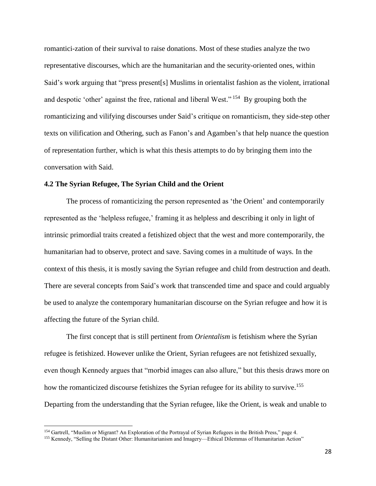romantici-zation of their survival to raise donations. Most of these studies analyze the two representative discourses, which are the humanitarian and the security-oriented ones, within Said's work arguing that "press present[s] Muslims in orientalist fashion as the violent, irrational and despotic 'other' against the free, rational and liberal West."<sup>154</sup> By grouping both the romanticizing and vilifying discourses under Said's critique on romanticism, they side-step other texts on vilification and Othering, such as Fanon's and Agamben's that help nuance the question of representation further, which is what this thesis attempts to do by bringing them into the conversation with Said.

#### **4.2 The Syrian Refugee, The Syrian Child and the Orient**

The process of romanticizing the person represented as 'the Orient' and contemporarily represented as the 'helpless refugee,' framing it as helpless and describing it only in light of intrinsic primordial traits created a fetishized object that the west and more contemporarily, the humanitarian had to observe, protect and save. Saving comes in a multitude of ways. In the context of this thesis, it is mostly saving the Syrian refugee and child from destruction and death. There are several concepts from Said's work that transcended time and space and could arguably be used to analyze the contemporary humanitarian discourse on the Syrian refugee and how it is affecting the future of the Syrian child.

The first concept that is still pertinent from *Orientalism* is fetishism where the Syrian refugee is fetishized. However unlike the Orient, Syrian refugees are not fetishized sexually, even though Kennedy argues that "morbid images can also allure," but this thesis draws more on how the romanticized discourse fetishizes the Syrian refugee for its ability to survive.<sup>155</sup> Departing from the understanding that the Syrian refugee, like the Orient, is weak and unable to

<sup>154</sup> Gartrell, "Muslim or Migrant? An Exploration of the Portrayal of Syrian Refugees in the British Press," page 4.

<sup>155</sup> Kennedy, "Selling the Distant Other: Humanitarianism and Imagery—Ethical Dilemmas of Humanitarian Action"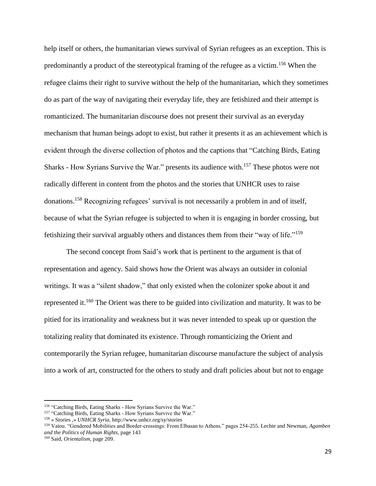help itself or others, the humanitarian views survival of Syrian refugees as an exception. This is predominantly a product of the stereotypical framing of the refugee as a victim.<sup>156</sup> When the refugee claims their right to survive without the help of the humanitarian, which they sometimes do as part of the way of navigating their everyday life, they are fetishized and their attempt is romanticized. The humanitarian discourse does not present their survival as an everyday mechanism that human beings adopt to exist, but rather it presents it as an achievement which is evident through the diverse collection of photos and the captions that "Catching Birds, Eating Sharks - How Syrians Survive the War." presents its audience with. <sup>157</sup> These photos were not radically different in content from the photos and the stories that UNHCR uses to raise donations.<sup>158</sup> Recognizing refugees' survival is not necessarily a problem in and of itself, because of what the Syrian refugee is subjected to when it is engaging in border crossing, but fetishizing their survival arguably others and distances them from their "way of life." 159

The second concept from Said's work that is pertinent to the argument is that of representation and agency. Said shows how the Orient was always an outsider in colonial writings. It was a "silent shadow," that only existed when the colonizer spoke about it and represented it.<sup>160</sup> The Orient was there to be guided into civilization and maturity. It was to be pitied for its irrationality and weakness but it was never intended to speak up or question the totalizing reality that dominated its existence. Through romanticizing the Orient and contemporarily the Syrian refugee, humanitarian discourse manufacture the subject of analysis into a work of art, constructed for the others to study and draft policies about but not to engage

<sup>&</sup>lt;sup>156</sup> "Catching Birds, Eating Sharks - How Syrians Survive the War."

<sup>&</sup>lt;sup>157</sup> "Catching Birds, Eating Sharks - How Syrians Survive the War."

<sup>158</sup> « Stories ,» *UNHCR Syria,* http://www.unhcr.org/sy/stories

<sup>159</sup> Vaiou. "Gendered Mobilities and Border-crossings: From Elbasan to Athens." pages 254-255. Lechte and Newman, *Agamben and the Politics of Human Rights,* page 143

<sup>160</sup> Said, *Orientalism,* page 209.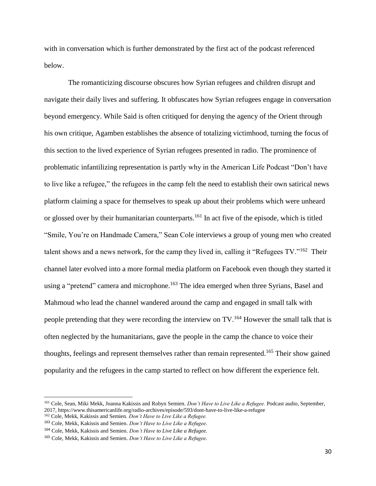with in conversation which is further demonstrated by the first act of the podcast referenced below.

The romanticizing discourse obscures how Syrian refugees and children disrupt and navigate their daily lives and suffering. It obfuscates how Syrian refugees engage in conversation beyond emergency. While Said is often critiqued for denying the agency of the Orient through his own critique, Agamben establishes the absence of totalizing victimhood, turning the focus of this section to the lived experience of Syrian refugees presented in radio. The prominence of problematic infantilizing representation is partly why in the American Life Podcast "Don't have to live like a refugee," the refugees in the camp felt the need to establish their own satirical news platform claiming a space for themselves to speak up about their problems which were unheard or glossed over by their humanitarian counterparts.<sup>161</sup> In act five of the episode, which is titled ["Smile, You're on Handmade Camera,"](https://www.thisamericanlife.org/radio-archives/episode/593/dont-have-to-live-like-a-refugee?act=5) Sean Cole interviews a group of young men who created talent shows and a news network, for the camp they lived in, calling it "Refugees TV."<sup>162</sup> Their channel later evolved into a more formal media platform on Facebook even though they started it using a "pretend" camera and microphone.<sup>163</sup> The idea emerged when three Syrians, Basel and Mahmoud who lead the channel wandered around the camp and engaged in small talk with people pretending that they were recording the interview on TV.<sup>164</sup> However the small talk that is often neglected by the humanitarians, gave the people in the camp the chance to voice their thoughts, feelings and represent themselves rather than remain represented.<sup>165</sup> Their show gained popularity and the refugees in the camp started to reflect on how different the experience felt.

<sup>161</sup> Cole, Sean, Miki Mekk, Joanna Kakissis and Robyn Semien. *Don't Have to Live Like a Refugee.* Podcast audio, September, 2017[, https://www.thisamericanlife.org/radio-archives/episode/593/dont-have-to-live-like-a-refugee](https://www.thisamericanlife.org/radio-archives/episode/593/dont-have-to-live-like-a-refugee)

<sup>162</sup> Cole, Mekk, Kakissis and Semien. *Don't Have to Live Like a Refugee.*

<sup>163</sup> Cole, Mekk, Kakissis and Semien. *Don't Have to Live Like a Refugee.*

<sup>164</sup> Cole, Mekk, Kakissis and Semien. *Don't Have to Live Like a Refugee.*

<sup>165</sup> Cole, Mekk, Kakissis and Semien. *Don't Have to Live Like a Refugee.*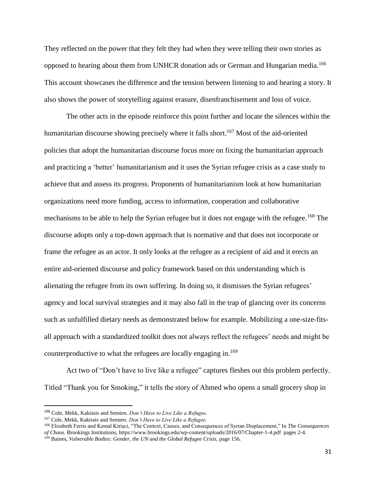They reflected on the power that they felt they had when they were telling their own stories as opposed to hearing about them from UNHCR donation ads or German and Hungarian media.<sup>166</sup> This account showcases the difference and the tension between listening to and hearing a story. It also shows the power of storytelling against erasure, disenfranchisement and loss of voice.

The other acts in the episode reinforce this point further and locate the silences within the humanitarian discourse showing precisely where it falls short.<sup>167</sup> Most of the aid-oriented policies that adopt the humanitarian discourse focus more on fixing the humanitarian approach and practicing a 'better' humanitarianism and it uses the Syrian refugee crisis as a case study to achieve that and assess its progress. Proponents of humanitarianism look at how humanitarian organizations need more funding, access to information, cooperation and collaborative mechanisms to be able to help the Syrian refugee but it does not engage with the refugee.<sup>168</sup> The discourse adopts only a top-down approach that is normative and that does not incorporate or frame the refugee as an actor. It only looks at the refugee as a recipient of aid and it erects an entire aid-oriented discourse and policy framework based on this understanding which is alienating the refugee from its own suffering. In doing so, it dismisses the Syrian refugees' agency and local survival strategies and it may also fall in the trap of glancing over its concerns such as unfulfilled dietary needs as demonstrated below for example. Mobilizing a one-size-fitsall approach with a standardized toolkit does not always reflect the refugees' needs and might be counterproductive to what the refugees are locally engaging in.<sup>169</sup>

Act two of "Don't have to live like a refugee" captures fleshes out this problem perfectly. Titled "Thank you for Smoking," it tells the story of Ahmed who opens a small grocery shop in

<sup>166</sup> Cole, Mekk, Kakissis and Semien. *Don't Have to Live Like a Refugee.*

<sup>167</sup> Cole, Mekk, Kakissis and Semien. *Don't Have to Live Like a Refugee.*

<sup>168</sup> Elizabeth Ferris and Kemal Kirişci, "The Context, Causes, and Consequences of Syrian Displacement," In *The Consequences of Chaos.* Brookings Institutions[, https://www.brookings.edu/wp-content/uploads/2016/07/Chapter-1-4.pdf](https://www.brookings.edu/wp-content/uploads/2016/07/Chapter-1-4.pdf) pages 2-4.

<sup>&</sup>lt;sup>169</sup> Baines, *Vulnerable Bodies: Gender, the UN and the Global Refugee Crisis, page 156.*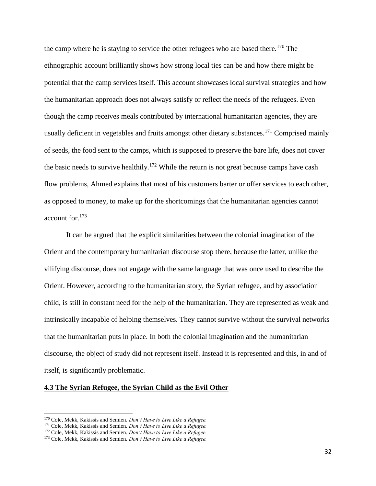the camp where he is staying to service the other refugees who are based there.<sup>170</sup> The ethnographic account brilliantly shows how strong local ties can be and how there might be potential that the camp services itself. This account showcases local survival strategies and how the humanitarian approach does not always satisfy or reflect the needs of the refugees. Even though the camp receives meals contributed by international humanitarian agencies, they are usually deficient in vegetables and fruits amongst other dietary substances.<sup>171</sup> Comprised mainly of seeds, the food sent to the camps, which is supposed to preserve the bare life, does not cover the basic needs to survive healthily.<sup>172</sup> While the return is not great because camps have cash flow problems, Ahmed explains that most of his customers barter or offer services to each other, as opposed to money, to make up for the shortcomings that the humanitarian agencies cannot account for.<sup>173</sup>

It can be argued that the explicit similarities between the colonial imagination of the Orient and the contemporary humanitarian discourse stop there, because the latter, unlike the vilifying discourse, does not engage with the same language that was once used to describe the Orient. However, according to the humanitarian story, the Syrian refugee, and by association child, is still in constant need for the help of the humanitarian. They are represented as weak and intrinsically incapable of helping themselves. They cannot survive without the survival networks that the humanitarian puts in place. In both the colonial imagination and the humanitarian discourse, the object of study did not represent itself. Instead it is represented and this, in and of itself, is significantly problematic.

## **4.3 The Syrian Refugee, the Syrian Child as the Evil Other**

<sup>170</sup> Cole, Mekk, Kakissis and Semien. *Don't Have to Live Like a Refugee.*

<sup>171</sup> Cole, Mekk, Kakissis and Semien. *Don't Have to Live Like a Refugee.*

<sup>172</sup> Cole, Mekk, Kakissis and Semien. *Don't Have to Live Like a Refugee.*

<sup>173</sup> Cole, Mekk, Kakissis and Semien. *Don't Have to Live Like a Refugee.*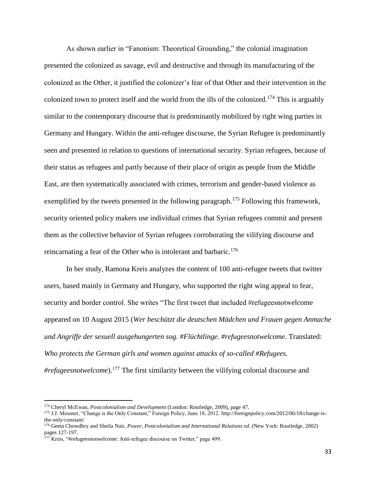As shown earlier in "Fanonism: Theoretical Grounding," the colonial imagination presented the colonized as savage, evil and destructive and through its manufacturing of the colonized as the Other, it justified the colonizer's fear of that Other and their intervention in the colonized town to protect itself and the world from the ills of the colonized.<sup>174</sup> This is arguably similar to the contemporary discourse that is predominantly mobilized by right wing parties in Germany and Hungary. Within the anti-refugee discourse, the Syrian Refugee is predominantly seen and presented in relation to questions of international security. Syrian refugees, because of their status as refugees and partly because of their place of origin as people from the Middle East, are then systematically associated with crimes, terrorism and gender-based violence as exemplified by the tweets presented in the following paragraph.<sup>175</sup> Following this framework, security oriented policy makers use individual crimes that Syrian refugees commit and present them as the collective behavior of Syrian refugees corroborating the vilifying discourse and reincarnating a fear of the Other who is intolerant and barbaric.<sup>176</sup>

In her study, Ramona Kreis analyzes the content of 100 anti-refugee tweets that twitter users, based mainly in Germany and Hungary, who supported the right wing appeal to fear, security and border control. She writes "The first tweet that included #refugeesnotwelcome appeared on 10 August 2015 (*Wer beschützt die deutschen Mädchen und Frauen gegen Anmache und Angriffe der sexuell ausgehungerten sog. #Flüchtlinge. #refugeesnotwelcome*. Translated: *Who protects the German girls and women against attacks of so-called #Refugees. #refugeesnotwelcome*).<sup>177</sup> The first similarity between the vilifying colonial discourse and

<sup>174</sup> Cheryl McEwan, *Postcolonialism and Development* (London: Routledge, 2009), page 47.

<sup>175</sup> J.J. Messner, "Change is the Only Constant," Foreign Policy, June 18, 2012[. http://foreignpolicy.com/2012/06/18/change-is](http://foreignpolicy.com/2012/06/18/change-is-the-only-constant/)[the-only-constant/](http://foreignpolicy.com/2012/06/18/change-is-the-only-constant/)

<sup>176</sup> Geeta Chowdhry and Sheila Nair, *Power, Postcolonialism and International Relations ed. (*New York: Routledge, 2002) pages 127-197.

<sup>&</sup>lt;sup>177</sup> Kreis, "#refugeesnotwelcome: Anti-refugee discourse on Twitter," page 499.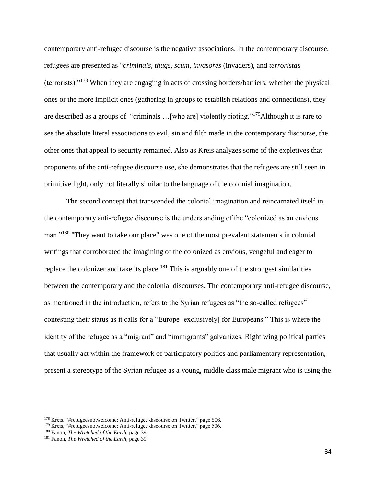contemporary anti-refugee discourse is the negative associations. In the contemporary discourse, refugees are presented as "*criminals*, *thugs*, *scum*, *invasores* (invaders), and *terroristas*  (terrorists)."<sup>178</sup> When they are engaging in acts of crossing borders/barriers, whether the physical ones or the more implicit ones (gathering in groups to establish relations and connections), they are described as a groups of "criminals …[who are] violently rioting."<sup>179</sup>Although it is rare to see the absolute literal associations to evil, sin and filth made in the contemporary discourse, the other ones that appeal to security remained. Also as Kreis analyzes some of the expletives that proponents of the anti-refugee discourse use, she demonstrates that the refugees are still seen in primitive light, only not literally similar to the language of the colonial imagination.

The second concept that transcended the colonial imagination and reincarnated itself in the contemporary anti-refugee discourse is the understanding of the "colonized as an envious man."<sup>180</sup> "They want to take our place" was one of the most prevalent statements in colonial writings that corroborated the imagining of the colonized as envious, vengeful and eager to replace the colonizer and take its place. $181$  This is arguably one of the strongest similarities between the contemporary and the colonial discourses. The contemporary anti-refugee discourse, as mentioned in the introduction, refers to the Syrian refugees as "the so-called refugees" contesting their status as it calls for a "Europe [exclusively] for Europeans." This is where the identity of the refugee as a "migrant" and "immigrants" galvanizes. Right wing political parties that usually act within the framework of participatory politics and parliamentary representation, present a stereotype of the Syrian refugee as a young, middle class male migrant who is using the

<sup>178</sup> Kreis, "#refugeesnotwelcome: Anti-refugee discourse on Twitter," page 506.

<sup>179</sup> Kreis, "#refugeesnotwelcome: Anti-refugee discourse on Twitter," page 506.

<sup>180</sup> Fanon, *The Wretched of the Earth*, page 39.

<sup>181</sup> Fanon, *The Wretched of the Earth*, page 39.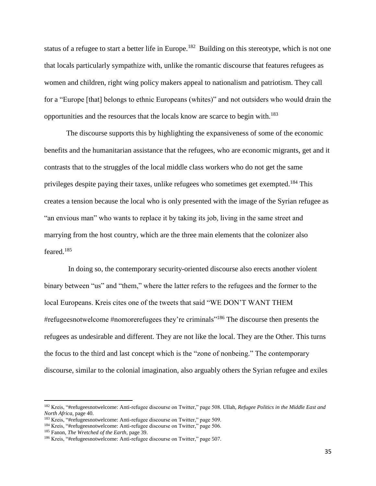status of a refugee to start a better life in Europe.<sup>182</sup> Building on this stereotype, which is not one that locals particularly sympathize with, unlike the romantic discourse that features refugees as women and children, right wing policy makers appeal to nationalism and patriotism. They call for a "Europe [that] belongs to ethnic Europeans (whites)" and not outsiders who would drain the opportunities and the resources that the locals know are scarce to begin with.<sup>183</sup>

The discourse supports this by highlighting the expansiveness of some of the economic benefits and the humanitarian assistance that the refugees, who are economic migrants, get and it contrasts that to the struggles of the local middle class workers who do not get the same privileges despite paying their taxes, unlike refugees who sometimes get exempted.<sup>184</sup> This creates a tension because the local who is only presented with the image of the Syrian refugee as "an envious man" who wants to replace it by taking its job, living in the same street and marrying from the host country, which are the three main elements that the colonizer also feared.<sup>185</sup>

In doing so, the contemporary security-oriented discourse also erects another violent binary between "us" and "them," where the latter refers to the refugees and the former to the local Europeans. Kreis cites one of the tweets that said "WE DON'T WANT THEM #refugeesnotwelcome #nomorerefugees they're criminals<sup>"186</sup> The discourse then presents the refugees as undesirable and different. They are not like the local. They are the Other. This turns the focus to the third and last concept which is the "zone of nonbeing." The contemporary discourse, similar to the colonial imagination, also arguably others the Syrian refugee and exiles

<sup>182</sup> Kreis, "#refugeesnotwelcome: Anti-refugee discourse on Twitter," page 508. Ullah, *Refugee Politics in the Middle East and North Africa,* page 40.

<sup>183</sup> Kreis, "#refugeesnotwelcome: Anti-refugee discourse on Twitter," page 509.

<sup>184</sup> Kreis, "#refugeesnotwelcome: Anti-refugee discourse on Twitter," page 506.

<sup>185</sup> Fanon, *The Wretched of the Earth*, page 39.

<sup>186</sup> Kreis, "#refugeesnotwelcome: Anti-refugee discourse on Twitter," page 507.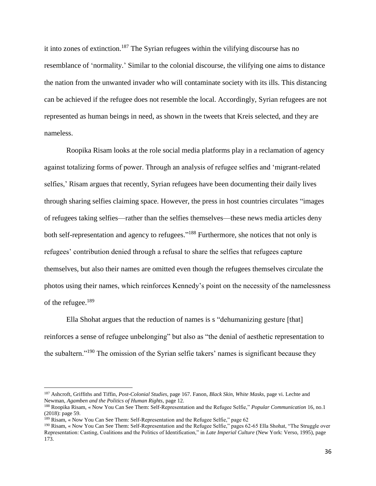it into zones of extinction. <sup>187</sup> The Syrian refugees within the vilifying discourse has no resemblance of 'normality.' Similar to the colonial discourse, the vilifying one aims to distance the nation from the unwanted invader who will contaminate society with its ills. This distancing can be achieved if the refugee does not resemble the local. Accordingly, Syrian refugees are not represented as human beings in need, as shown in the tweets that Kreis selected, and they are nameless.

Roopika Risam looks at the role social media platforms play in a reclamation of agency against totalizing forms of power. Through an analysis of refugee selfies and 'migrant-related selfies,' Risam argues that recently, Syrian refugees have been documenting their daily lives through sharing selfies claiming space. However, the press in host countries circulates "images of refugees taking selfies—rather than the selfies themselves—these news media articles deny both self-representation and agency to refugees."<sup>188</sup> Furthermore, she notices that not only is refugees' contribution denied through a refusal to share the selfies that refugees capture themselves, but also their names are omitted even though the refugees themselves circulate the photos using their names, which reinforces Kennedy's point on the necessity of the namelessness of the refugee.<sup>189</sup>

Ella Shohat argues that the reduction of names is s "dehumanizing gesture [that] reinforces a sense of refugee unbelonging" but also as "the denial of aesthetic representation to the subaltern."<sup>190</sup> The omission of the Syrian selfie takers' names is significant because they

<sup>187</sup> Ashcroft, Griffiths and Tiffin, *Post-Colonial Studies*, page 167. Fanon, *Black Skin, White Masks,* page vi. Lechte and Newman, *Agamben and the Politics of Human Rights,* page 12.

<sup>188</sup> Roopika Risam, « Now You Can See Them: Self-Representation and the Refugee Selfie," *Popular Communication* 16, no.1 (2018): page 59.

<sup>&</sup>lt;sup>189</sup> Risam, « Now You Can See Them: Self-Representation and the Refugee Selfie," page 62

<sup>190</sup> Risam, « Now You Can See Them: Self-Representation and the Refugee Selfie," pages 62-65 Ella Shohat, "The Struggle over Representation: Casting, Coalitions and the Politics of Identification," in *Late Imperial Culture* (New York: Verso, 1995), page 173.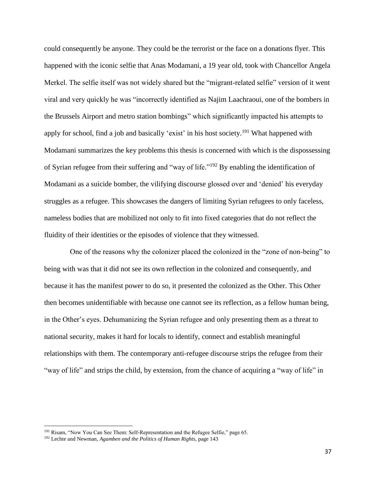could consequently be anyone. They could be the terrorist or the face on a donations flyer. This happened with the iconic selfie that Anas Modamani, a 19 year old, took with Chancellor Angela Merkel. The selfie itself was not widely shared but the "migrant-related selfie" version of it went viral and very quickly he was "incorrectly identified as Najim Laachraoui, one of the bombers in the Brussels Airport and metro station bombings" which significantly impacted his attempts to apply for school, find a job and basically 'exist' in his host society.<sup>191</sup> What happened with Modamani summarizes the key problems this thesis is concerned with which is the dispossessing of Syrian refugee from their suffering and "way of life."<sup>192</sup> By enabling the identification of Modamani as a suicide bomber, the vilifying discourse glossed over and 'denied' his everyday struggles as a refugee. This showcases the dangers of limiting Syrian refugees to only faceless, nameless bodies that are mobilized not only to fit into fixed categories that do not reflect the fluidity of their identities or the episodes of violence that they witnessed.

One of the reasons why the colonizer placed the colonized in the "zone of non-being" to being with was that it did not see its own reflection in the colonized and consequently, and because it has the manifest power to do so, it presented the colonized as the Other. This Other then becomes unidentifiable with because one cannot see its reflection, as a fellow human being, in the Other's eyes. Dehumanizing the Syrian refugee and only presenting them as a threat to national security, makes it hard for locals to identify, connect and establish meaningful relationships with them. The contemporary anti-refugee discourse strips the refugee from their "way of life" and strips the child, by extension, from the chance of acquiring a "way of life" in

<sup>&</sup>lt;sup>191</sup> Risam, "Now You Can See Them: Self-Representation and the Refugee Selfie," page 65.

<sup>192</sup> Lechte and Newman, *Agamben and the Politics of Human Rights,* page 143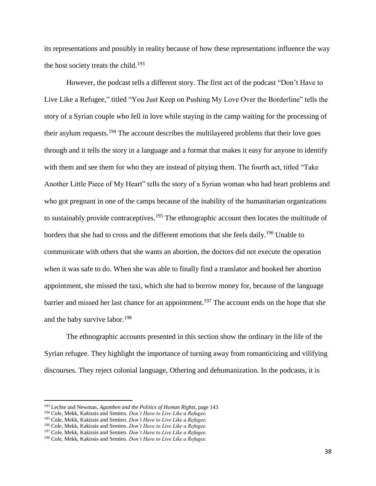its representations and possibly in reality because of how these representations influence the way the host society treats the child.<sup>193</sup>

However, the podcast tells a different story. The first act of the podcast "Don't Have to Live Like a Refugee," titled "You Just Keep on Pushing My Love Over the Borderline" tells the story of a Syrian couple who fell in love while staying in the camp waiting for the processing of their asylum requests.<sup>194</sup> The account describes the multilayered problems that their love goes through and it tells the story in a language and a format that makes it easy for anyone to identify with them and see them for who they are instead of pitying them. The fourth act, titled "Take Another Little Piece of My Heart" tells the story of a Syrian woman who had heart problems and who got pregnant in one of the camps because of the inability of the humanitarian organizations to sustainably provide contraceptives.<sup>195</sup> The ethnographic account then locates the multitude of borders that she had to cross and the different emotions that she feels daily.<sup>196</sup> Unable to communicate with others that she wants an abortion, the doctors did not execute the operation when it was safe to do. When she was able to finally find a translator and booked her abortion appointment, she missed the taxi, which she had to borrow money for, because of the language barrier and missed her last chance for an appointment.<sup>197</sup> The account ends on the hope that she and the baby survive labor.<sup>198</sup>

The ethnographic accounts presented in this section show the ordinary in the life of the Syrian refugee. They highlight the importance of turning away from romanticizing and vilifying discourses. They reject colonial language, Othering and dehumanization. In the podcasts, it is

<sup>193</sup> Lechte and Newman, *Agamben and the Politics of Human Rights,* page 143

<sup>194</sup> Cole, Mekk, Kakissis and Semien. *Don't Have to Live Like a Refugee.*

<sup>195</sup> Cole, Mekk, Kakissis and Semien. *Don't Have to Live Like a Refugee.* 

<sup>196</sup> Cole, Mekk, Kakissis and Semien. *Don't Have to Live Like a Refugee.*

<sup>197</sup> Cole, Mekk, Kakissis and Semien. *Don't Have to Live Like a Refugee.*

<sup>198</sup> Cole, Mekk, Kakissis and Semien. *Don't Have to Live Like a Refugee.*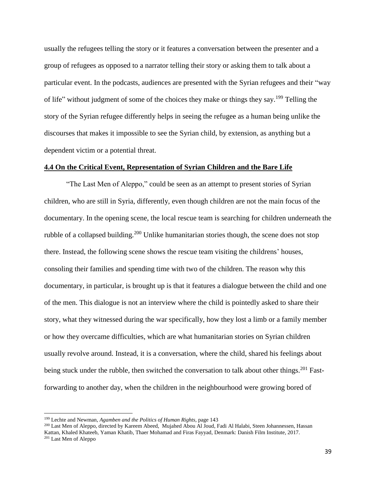usually the refugees telling the story or it features a conversation between the presenter and a group of refugees as opposed to a narrator telling their story or asking them to talk about a particular event. In the podcasts, audiences are presented with the Syrian refugees and their "way of life" without judgment of some of the choices they make or things they say.<sup>199</sup> Telling the story of the Syrian refugee differently helps in seeing the refugee as a human being unlike the discourses that makes it impossible to see the Syrian child, by extension, as anything but a dependent victim or a potential threat.

#### **4.4 On the Critical Event, Representation of Syrian Children and the Bare Life**

"The Last Men of Aleppo," could be seen as an attempt to present stories of Syrian children, who are still in Syria, differently, even though children are not the main focus of the documentary. In the opening scene, the local rescue team is searching for children underneath the rubble of a collapsed building.<sup>200</sup> Unlike humanitarian stories though, the scene does not stop there. Instead, the following scene shows the rescue team visiting the childrens' houses, consoling their families and spending time with two of the children. The reason why this documentary, in particular, is brought up is that it features a dialogue between the child and one of the men. This dialogue is not an interview where the child is pointedly asked to share their story, what they witnessed during the war specifically, how they lost a limb or a family member or how they overcame difficulties, which are what humanitarian stories on Syrian children usually revolve around. Instead, it is a conversation, where the child, shared his feelings about being stuck under the rubble, then switched the conversation to talk about other things.<sup>201</sup> Fastforwarding to another day, when the children in the neighbourhood were growing bored of

<sup>199</sup> Lechte and Newman, *Agamben and the Politics of Human Rights,* page 143

<sup>200</sup> Last Men of Aleppo, directed by Kareem Abeed, Mujahed Abou Al Joud, Fadi Al Halabi, Steen Johannessen, Hassan Kattan, Khaled Khateeb, Yaman Khatib, Thaer Mohamad and Firas Fayyad, Denmark: Danish Film Institute, 2017. <sup>201</sup> Last Men of Aleppo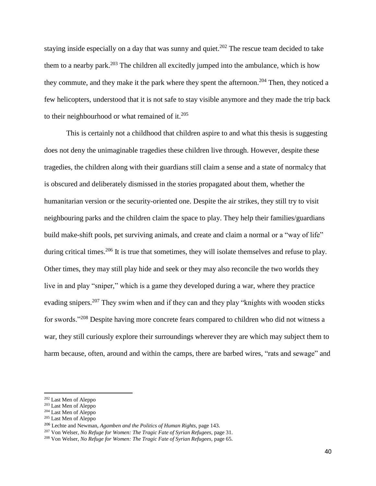staying inside especially on a day that was sunny and quiet.<sup>202</sup> The rescue team decided to take them to a nearby park.<sup>203</sup> The children all excitedly jumped into the ambulance, which is how they commute, and they make it the park where they spent the afternoon.<sup>204</sup> Then, they noticed a few helicopters, understood that it is not safe to stay visible anymore and they made the trip back to their neighbourhood or what remained of it.<sup>205</sup>

This is certainly not a childhood that children aspire to and what this thesis is suggesting does not deny the unimaginable tragedies these children live through. However, despite these tragedies, the children along with their guardians still claim a sense and a state of normalcy that is obscured and deliberately dismissed in the stories propagated about them, whether the humanitarian version or the security-oriented one. Despite the air strikes, they still try to visit neighbouring parks and the children claim the space to play. They help their families/guardians build make-shift pools, pet surviving animals, and create and claim a normal or a "way of life" during critical times.<sup>206</sup> It is true that sometimes, they will isolate themselves and refuse to play. Other times, they may still play hide and seek or they may also reconcile the two worlds they live in and play "sniper," which is a game they developed during a war, where they practice evading snipers.<sup>207</sup> They swim when and if they can and they play "knights with wooden sticks" for swords."<sup>208</sup> Despite having more concrete fears compared to children who did not witness a war, they still curiously explore their surroundings wherever they are which may subject them to harm because, often, around and within the camps, there are barbed wires, "rats and sewage" and

<sup>202</sup> Last Men of Aleppo

<sup>&</sup>lt;sup>203</sup> Last Men of Aleppo

<sup>204</sup> Last Men of Aleppo

<sup>205</sup> Last Men of Aleppo

<sup>206</sup> Lechte and Newman, *Agamben and the Politics of Human Rights,* page 143.

<sup>207</sup> Von Welser, *No Refuge for Women: The Tragic Fate of Syrian Refugees,* page 31.

<sup>&</sup>lt;sup>208</sup> Von Welser, *No Refuge for Women: The Tragic Fate of Syrian Refugees*, page 65.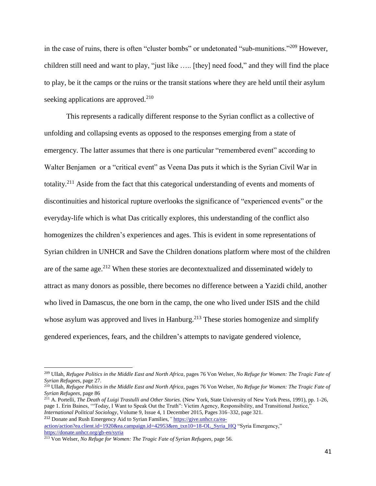in the case of ruins, there is often "cluster bombs" or undetonated "sub-munitions."<sup>209</sup> However, children still need and want to play, "just like ….. [they] need food," and they will find the place to play, be it the camps or the ruins or the transit stations where they are held until their asylum seeking applications are approved.<sup>210</sup>

This represents a radically different response to the Syrian conflict as a collective of unfolding and collapsing events as opposed to the responses emerging from a state of emergency. The latter assumes that there is one particular "remembered event" according to Walter Benjamen or a "critical event" as Veena Das puts it which is the Syrian Civil War in totality.<sup>211</sup> Aside from the fact that this categorical understanding of events and moments of discontinuities and historical rupture overlooks the significance of "experienced events" or the everyday-life which is what Das critically explores, this understanding of the conflict also homogenizes the children's experiences and ages. This is evident in some representations of Syrian children in UNHCR and Save the Children donations platform where most of the children are of the same age.<sup>212</sup> When these stories are decontextualized and disseminated widely to attract as many donors as possible, there becomes no difference between a Yazidi child, another who lived in Damascus, the one born in the camp, the one who lived under ISIS and the child whose asylum was approved and lives in Hanburg.<sup>213</sup> These stories homogenize and simplify gendered experiences, fears, and the children's attempts to navigate gendered violence,

[action/action?ea.client.id=1920&ea.campaign.id=42953&en\\_txn10=18-OL\\_Syria\\_HQ](https://give.unhcr.ca/ea-action/action?ea.client.id=1920&ea.campaign.id=42953&en_txn10=18-OL_Syria_HQ) "Syria Emergency," <https://donate.unhcr.org/gb-en/syria>

<sup>209</sup> Ullah, *Refugee Politics in the Middle East and North Africa*, pages 76 Von Welser, *No Refuge for Women: The Tragic Fate of Syrian Refugees,* page 27.

<sup>210</sup> Ullah, *Refugee Politics in the Middle East and North Africa*, pages 76 Von Welser, *No Refuge for Women: The Tragic Fate of Syrian Refugees,* page 86

<sup>211</sup> A. Portelli, *The Death of Luigi Trastulli and Other Stories*. (New York, State University of New York Press, 1991), pp. 1-26, page 1. Erin Baines, '"Today, I Want to Speak Out the Truth": Victim Agency, Responsibility, and Transitional Justice," *International Political Sociology*, Volume 9, Issue 4, 1 December 2015, Pages 316–332, page 321. <sup>212</sup> Donate and Rush Emergency Aid to Syrian Families,*"* [https://give.unhcr.ca/ea-](https://give.unhcr.ca/ea-action/action?ea.client.id=1920&ea.campaign.id=42953&en_txn10=18-OL_Syria_HQ)

<sup>213</sup> Von Welser, *No Refuge for Women: The Tragic Fate of Syrian Refugees,* page 56.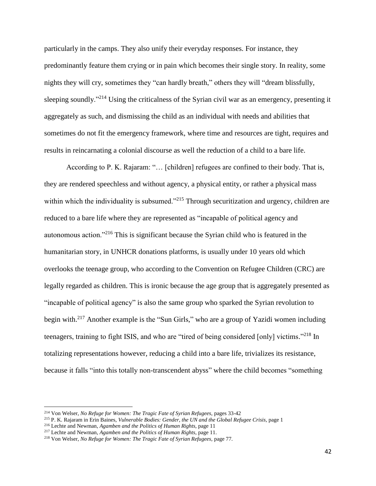particularly in the camps. They also unify their everyday responses. For instance, they predominantly feature them crying or in pain which becomes their single story. In reality, some nights they will cry, sometimes they "can hardly breath," others they will "dream blissfully, sleeping soundly."<sup>214</sup> Using the criticalness of the Syrian civil war as an emergency, presenting it aggregately as such, and dismissing the child as an individual with needs and abilities that sometimes do not fit the emergency framework, where time and resources are tight, requires and results in reincarnating a colonial discourse as well the reduction of a child to a bare life.

According to P. K. Rajaram: "… [children] refugees are confined to their body. That is, they are rendered speechless and without agency, a physical entity, or rather a physical mass within which the individuality is subsumed."<sup>215</sup> Through securitization and urgency, children are reduced to a bare life where they are represented as "incapable of political agency and autonomous action."<sup>216</sup> This is significant because the Syrian child who is featured in the humanitarian story, in UNHCR donations platforms, is usually under 10 years old which overlooks the teenage group, who according to the Convention on Refugee Children (CRC) are legally regarded as children. This is ironic because the age group that is aggregately presented as "incapable of political agency" is also the same group who sparked the Syrian revolution to begin with.<sup>217</sup> Another example is the "Sun Girls," who are a group of Yazidi women including teenagers, training to fight ISIS, and who are "tired of being considered [only] victims."<sup>218</sup> In totalizing representations however, reducing a child into a bare life, trivializes its resistance, because it falls "into this totally non-transcendent abyss" where the child becomes "something

<sup>214</sup> Von Welser, *No Refuge for Women: The Tragic Fate of Syrian Refugees,* pages 33-42

<sup>215</sup> P. K. Rajaram in Erin Baines, *Vulnerable Bodies: Gender, the UN and the Global Refugee Crisis,* page 1

<sup>216</sup> Lechte and Newman, *Agamben and the Politics of Human Rights,* page 11

<sup>217</sup> Lechte and Newman, *Agamben and the Politics of Human Rights,* page 11.

<sup>218</sup> Von Welser, *No Refuge for Women: The Tragic Fate of Syrian Refugees,* page 77.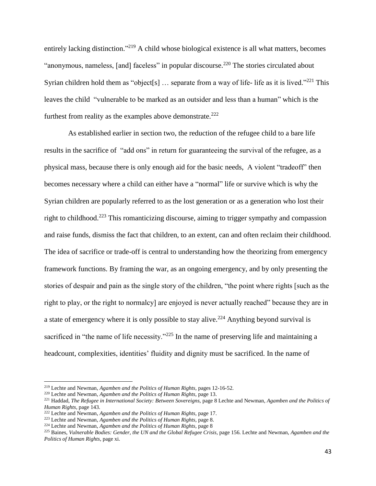entirely lacking distinction."<sup>219</sup> A child whose biological existence is all what matters, becomes "anonymous, nameless, [and] faceless" in popular discourse.<sup>220</sup> The stories circulated about Syrian children hold them as "object[s] ... separate from a way of life- life as it is lived."<sup>221</sup> This leaves the child "vulnerable to be marked as an outsider and less than a human" which is the furthest from reality as the examples above demonstrate.<sup>222</sup>

As established earlier in section two, the reduction of the refugee child to a bare life results in the sacrifice of "add ons" in return for guaranteeing the survival of the refugee, as a physical mass, because there is only enough aid for the basic needs, A violent "tradeoff" then becomes necessary where a child can either have a "normal" life or survive which is why the Syrian children are popularly referred to as the lost generation or as a generation who lost their right to childhood.<sup>223</sup> This romanticizing discourse, aiming to trigger sympathy and compassion and raise funds, dismiss the fact that children, to an extent, can and often reclaim their childhood. The idea of sacrifice or trade-off is central to understanding how the theorizing from emergency framework functions. By framing the war, as an ongoing emergency, and by only presenting the stories of despair and pain as the single story of the children, "the point where rights [such as the right to play, or the right to normalcy] are enjoyed is never actually reached" because they are in a state of emergency where it is only possible to stay alive.<sup>224</sup> Anything beyond survival is sacrificed in "the name of life necessity."<sup>225</sup> In the name of preserving life and maintaining a headcount, complexities, identities' fluidity and dignity must be sacrificed. In the name of

l

<sup>219</sup> Lechte and Newman, *Agamben and the Politics of Human Rights,* pages 12-16-52.

<sup>220</sup> Lechte and Newman, *Agamben and the Politics of Human Rights,* page 13.

<sup>221</sup> Haddad, *The Refugee in International Society: Between Sovereigns,* page 8 Lechte and Newman, *Agamben and the Politics of Human Rights,* page 143.

<sup>222</sup> Lechte and Newman, *Agamben and the Politics of Human Rights,* page 17.

<sup>223</sup> Lechte and Newman, *Agamben and the Politics of Human Rights,* page 8.

<sup>224</sup> Lechte and Newman, *Agamben and the Politics of Human Rights,* page 8

<sup>&</sup>lt;sup>225</sup> Baines, *Vulnerable Bodies: Gender, the UN and the Global Refugee Crisis, page 156. Lechte and Newman, <i>Agamben and the Politics of Human Rights,* page xi.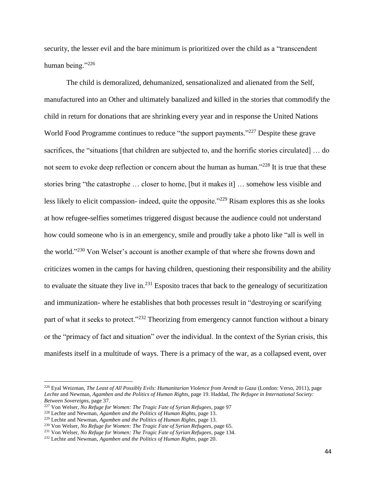security, the lesser evil and the bare minimum is prioritized over the child as a "transcendent human being."<sup>226</sup>

The child is demoralized, dehumanized, sensationalized and alienated from the Self, manufactured into an Other and ultimately banalized and killed in the stories that commodify the child in return for donations that are shrinking every year and in response the United Nations World Food Programme continues to reduce "the support payments."<sup>227</sup> Despite these grave sacrifices, the "situations [that children are subjected to, and the horrific stories circulated] … do not seem to evoke deep reflection or concern about the human as human."<sup>228</sup> It is true that these stories bring "the catastrophe … closer to home, [but it makes it] … somehow less visible and less likely to elicit compassion- indeed, quite the opposite."<sup>229</sup> Risam explores this as she looks at how refugee-selfies sometimes triggered disgust because the audience could not understand how could someone who is in an emergency, smile and proudly take a photo like "all is well in the world."<sup>230</sup> Von Welser's account is another example of that where she frowns down and criticizes women in the camps for having children, questioning their responsibility and the ability to evaluate the situate they live in.<sup>231</sup> Esposito traces that back to the genealogy of securitization and immunization- where he establishes that both processes result in "destroying or scarifying part of what it seeks to protect."<sup>232</sup> Theorizing from emergency cannot function without a binary or the "primacy of fact and situation" over the individual. In the context of the Syrian crisis, this manifests itself in a multitude of ways. There is a primacy of the war, as a collapsed event, over

l

<sup>226</sup> Eyal Weizman, *The Least of All Possibly Evils: Humanitarian Violence from Arendt to Gaza* (London: Verso, 2011), page *Lechte* and Newman, *Agamben and the Politics of Human Rights,* page 19. Haddad, *The Refugee in International Society: Between Sovereigns,* page 37.

<sup>227</sup> Von Welser, *No Refuge for Women: The Tragic Fate of Syrian Refugees,* page 97

<sup>228</sup> Lechte and Newman, *Agamben and the Politics of Human Rights,* page 13.

<sup>229</sup> Lechte and Newman, *Agamben and the Politics of Human Rights,* page 13.

<sup>&</sup>lt;sup>230</sup> Von Welser, *No Refuge for Women: The Tragic Fate of Syrian Refugees*, page 65.

<sup>231</sup> Von Welser, *No Refuge for Women: The Tragic Fate of Syrian Refugees,* page 134.

<sup>232</sup> Lechte and Newman, *Agamben and the Politics of Human Rights,* page 20.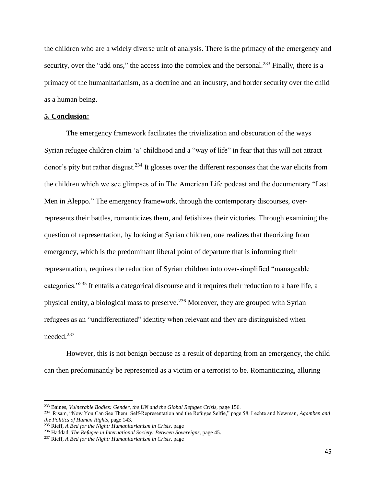the children who are a widely diverse unit of analysis. There is the primacy of the emergency and security, over the "add ons," the access into the complex and the personal.<sup>233</sup> Finally, there is a primacy of the humanitarianism, as a doctrine and an industry, and border security over the child as a human being.

#### **5. Conclusion:**

The emergency framework facilitates the trivialization and obscuration of the ways Syrian refugee children claim 'a' childhood and a "way of life" in fear that this will not attract donor's pity but rather disgust.<sup>234</sup> It glosses over the different responses that the war elicits from the children which we see glimpses of in The American Life podcast and the documentary "Last Men in Aleppo." The emergency framework, through the contemporary discourses, overrepresents their battles, romanticizes them, and fetishizes their victories. Through examining the question of representation, by looking at Syrian children, one realizes that theorizing from emergency, which is the predominant liberal point of departure that is informing their representation, requires the reduction of Syrian children into over-simplified "manageable categories."<sup>235</sup> It entails a categorical discourse and it requires their reduction to a bare life, a physical entity, a biological mass to preserve.<sup>236</sup> Moreover, they are grouped with Syrian refugees as an "undifferentiated" identity when relevant and they are distinguished when needed.<sup>237</sup>

However, this is not benign because as a result of departing from an emergency, the child can then predominantly be represented as a victim or a terrorist to be. Romanticizing, alluring

<sup>&</sup>lt;sup>233</sup> Baines, *Vulnerable Bodies: Gender, the UN and the Global Refugee Crisis, page 156.* 

<sup>234</sup> Risam, "Now You Can See Them: Self-Representation and the Refugee Selfie," page 58. Lechte and Newman, *Agamben and the Politics of Human Rights,* page 143.

<sup>235</sup> Rieff, *A Bed for the Night: Humanitarianism in Crisis,* page

<sup>&</sup>lt;sup>236</sup> Haddad, *The Refugee in International Society: Between Sovereigns*, page 45.

<sup>237</sup> Rieff, *A Bed for the Night: Humanitarianism in Crisis,* page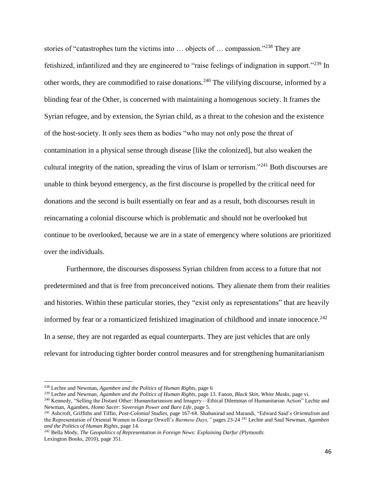stories of "catastrophes turn the victims into … objects of … compassion."<sup>238</sup> They are fetishized, infantilized and they are engineered to "raise feelings of indignation in support."<sup>239</sup> In other words, they are commodified to raise donations.<sup>240</sup> The vilifying discourse, informed by a blinding fear of the Other, is concerned with maintaining a homogenous society. It frames the Syrian refugee, and by extension, the Syrian child, as a threat to the cohesion and the existence of the host-society. It only sees them as bodies "who may not only pose the threat of contamination in a physical sense through disease [like the colonized], but also weaken the cultural integrity of the nation, spreading the virus of Islam or terrorism."<sup>241</sup> Both discourses are unable to think beyond emergency, as the first discourse is propelled by the critical need for donations and the second is built essentially on fear and as a result, both discourses result in reincarnating a colonial discourse which is problematic and should not be overlooked but continue to be overlooked, because we are in a state of emergency where solutions are prioritized over the individuals.

Furthermore, the discourses dispossess Syrian children from access to a future that not predetermined and that is free from preconceived notions. They alienate them from their realities and histories. Within these particular stories, they "exist only as representations" that are heavily informed by fear or a romanticized fetishized imagination of childhood and innate innocence. 242 In a sense, they are not regarded as equal counterparts. They are just vehicles that are only relevant for introducing tighter border control measures and for strengthening humanitarianism

l

<sup>242</sup> Bella Mody, *The Geopolitics of Representation in Foreign News: Explaining Darfur (*Plymouth: Lexington Books, 2010), page 351.

<sup>238</sup> Lechte and Newman, *Agamben and the Politics of Human Rights,* page 6

<sup>239</sup> Lechte and Newman, *Agamben and the Politics of Human Rights,* page 13. Fanon, *Black Skin, White Masks,* page vi.

<sup>240</sup> Kennedy, "Selling the Distant Other: Humanitarianism and Imagery—Ethical Dilemmas of Humanitarian Action" Lechte and Newman, Agamben, *Homo Sacer: Sovereign Power and Bare Life*, page 5.

<sup>241</sup> Ashcroft, Griffiths and Tiffin, *Post-Colonial Studies*, page 167-68. Shabanirad and Marandi, "Edward Said's *Orientalism* and the Representation of Oriental Women in George Orwell's *Burmese Days,"* pages 23-24 <sup>241</sup> Lechte and Saul Newman, *Agamben and the Politics of Human Rights,* page 14.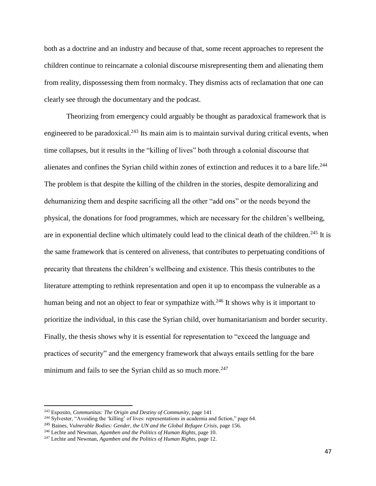both as a doctrine and an industry and because of that, some recent approaches to represent the children continue to reincarnate a colonial discourse misrepresenting them and alienating them from reality, dispossessing them from normalcy. They dismiss acts of reclamation that one can clearly see through the documentary and the podcast.

Theorizing from emergency could arguably be thought as paradoxical framework that is engineered to be paradoxical.<sup>243</sup> Its main aim is to maintain survival during critical events, when time collapses, but it results in the "killing of lives" both through a colonial discourse that alienates and confines the Syrian child within zones of extinction and reduces it to a bare life.<sup>244</sup> The problem is that despite the killing of the children in the stories, despite demoralizing and dehumanizing them and despite sacrificing all the other "add ons" or the needs beyond the physical, the donations for food programmes, which are necessary for the children's wellbeing, are in exponential decline which ultimately could lead to the clinical death of the children.<sup>245</sup> It is the same framework that is centered on aliveness, that contributes to perpetuating conditions of precarity that threatens the children's wellbeing and existence. This thesis contributes to the literature attempting to rethink representation and open it up to encompass the vulnerable as a human being and not an object to fear or sympathize with.<sup>246</sup> It shows why is it important to prioritize the individual, in this case the Syrian child, over humanitarianism and border security. Finally, the thesis shows why it is essential for representation to "exceed the language and practices of security" and the emergency framework that always entails settling for the bare minimum and fails to see the Syrian child as so much more.<sup>247</sup>

<sup>243</sup> Esposito, *Communitas: The Origin and Destiny of Community,* page 141

<sup>&</sup>lt;sup>244</sup> Sylvester, "Avoiding the 'killing' of lives: representations in academia and fiction," page 64.

<sup>&</sup>lt;sup>245</sup> Baines, *Vulnerable Bodies: Gender, the UN and the Global Refugee Crisis, page 156.* 

<sup>246</sup> Lechte and Newman, *Agamben and the Politics of Human Rights,* page 10.

<sup>247</sup> Lechte and Newman, *Agamben and the Politics of Human Rights,* page 12.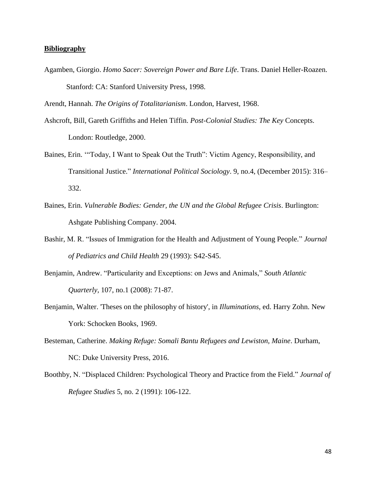## **Bibliography**

Agamben, Giorgio. *Homo Sacer: Sovereign Power and Bare Life*. Trans. Daniel Heller-Roazen. Stanford: CA: Stanford University Press, 1998.

Arendt, Hannah. *The Origins of Totalitarianism*. London, Harvest, 1968.

- Ashcroft, Bill, Gareth Griffiths and Helen Tiffin. *Post-Colonial Studies: The Key* Concepts. London: Routledge, 2000.
- Baines, Erin. '"Today, I Want to Speak Out the Truth": Victim Agency, Responsibility, and Transitional Justice." *International Political Sociology*. 9, no.4, (December 2015): 316– 332.
- Baines, Erin. *Vulnerable Bodies: Gender, the UN and the Global Refugee Crisis*. Burlington: Ashgate Publishing Company. 2004.
- Bashir, M. R. "Issues of Immigration for the Health and Adjustment of Young People." *Journal of Pediatrics and Child Health* 29 (1993): S42-S45.
- Benjamin, Andrew. "Particularity and Exceptions: on Jews and Animals," *South Atlantic Quarterly,* 107, no.1 (2008): 71-87.
- Benjamin, Walter. 'Theses on the philosophy of history', in *Illuminations,* ed. Harry Zohn. New York: Schocken Books, 1969.
- Besteman, Catherine. *Making Refuge: Somali Bantu Refugees and Lewiston, Maine*. Durham, NC: Duke University Press, 2016.
- Boothby, N. "Displaced Children: Psychological Theory and Practice from the Field." *Journal of Refugee Studies* 5, no. 2 (1991): 106-122.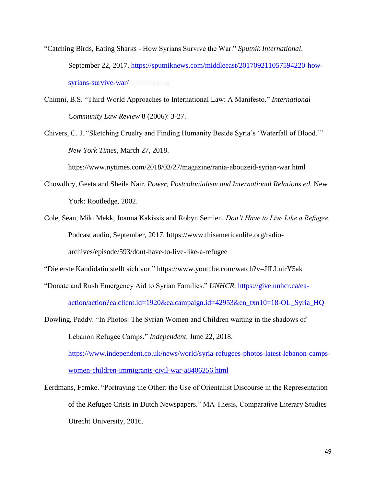- "Catching Birds, Eating Sharks How Syrians Survive the War." *Sputnik International*. September 22, 2017. [https://sputniknews.com/middleeast/201709211057594220-how](https://sputniknews.com/middleeast/201709211057594220-how-syrians-survive-war/)[syrians-survive-war/I](https://sputniknews.com/middleeast/201709211057594220-how-syrians-survive-war/)nfoShopping
- Chimni, B.S. "Third World Approaches to International Law: A Manifesto." *International Community Law Review* 8 (2006): 3-27.
- Chivers, C. J. "Sketching Cruelty and Finding Humanity Beside Syria's 'Waterfall of Blood.'" *New York Times*, March 27, 2018.

https://www.nytimes.com/2018/03/27/magazine/rania-abouzeid-syrian-war.html

- Chowdhry, Geeta and Sheila Nair. *Power, Postcolonialism and International Relations ed.* New York: Routledge, 2002.
- Cole, Sean, Miki Mekk, Joanna Kakissis and Robyn Semien. *Don't Have to Live Like a Refugee.* Podcast audio, September, 2017, [https://www.thisamericanlife.org/radio](https://www.thisamericanlife.org/radio-archives/episode/593/dont-have-to-live-like-a-refugee)[archives/episode/593/dont-have-to-live-like-a-refugee](https://www.thisamericanlife.org/radio-archives/episode/593/dont-have-to-live-like-a-refugee)

["Die erste Kandidatin stellt sich vor.](https://www.youtube.com/watch?v=JfLLnirY5ak)"<https://www.youtube.com/watch?v=JfLLnirY5ak>

"Donate and Rush Emergency Aid to Syrian Families." *UNHCR.* [https://give.unhcr.ca/ea](https://give.unhcr.ca/ea-action/action?ea.client.id=1920&ea.campaign.id=42953&en_txn10=18-OL_Syria_HQ)[action/action?ea.client.id=1920&ea.campaign.id=42953&en\\_txn10=18-OL\\_Syria\\_HQ](https://give.unhcr.ca/ea-action/action?ea.client.id=1920&ea.campaign.id=42953&en_txn10=18-OL_Syria_HQ)

Dowling, Paddy. "In Photos: The Syrian Women and Children waiting in the shadows of Lebanon Refugee Camps." *Independent*. June 22, 2018. [https://www.independent.co.uk/news/world/syria-refugees-photos-latest-lebanon-camps](https://www.independent.co.uk/news/world/syria-refugees-photos-latest-lebanon-camps-women-children-immigrants-civil-war-a8406256.html)[women-children-immigrants-civil-war-a8406256.html](https://www.independent.co.uk/news/world/syria-refugees-photos-latest-lebanon-camps-women-children-immigrants-civil-war-a8406256.html)

Eerdmans, Femke. "Portraying the Other: the Use of Orientalist Discourse in the Representation of the Refugee Crisis in Dutch Newspapers." MA Thesis, Comparative Literary Studies Utrecht University, 2016.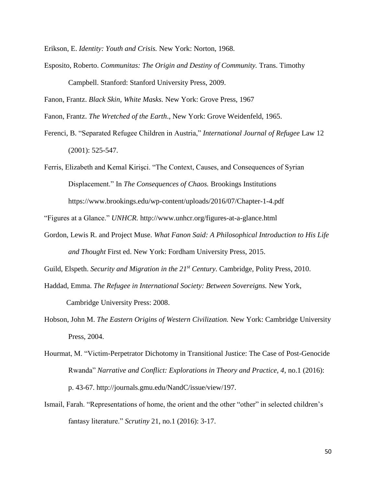Erikson, E. *Identity: Youth and Crisis.* New York: Norton, 1968.

Esposito, Roberto. *Communitas: The Origin and Destiny of Community.* Trans. Timothy Campbell. Stanford: Stanford University Press, 2009.

Fanon, Frantz. *Black Skin, White Masks.* New York: Grove Press, 1967

Fanon, Frantz. *The Wretched of the Earth*., New York: Grove Weidenfeld, 1965.

Ferenci, B. "Separated Refugee Children in Austria," *International Journal of Refugee* Law 12 (2001): 525-547.

Ferris, Elizabeth and Kemal Kirişci. "The Context, Causes, and Consequences of Syrian Displacement." In *The Consequences of Chaos.* Brookings Institutions <https://www.brookings.edu/wp-content/uploads/2016/07/Chapter-1-4.pdf>

"Figures at a Glance." *UNHCR.* <http://www.unhcr.org/figures-at-a-glance.html>

Gordon, Lewis R. and Project Muse. *What Fanon Said: A Philosophical Introduction to His Life and Thought* First ed. New York: Fordham University Press, 2015.

Guild, Elspeth. *Security and Migration in the 21st Century.* Cambridge, Polity Press, 2010.

Haddad, Emma. *The Refugee in International Society: Between Sovereigns.* New York,

Cambridge University Press: 2008.

Hobson, John M. *The Eastern Origins of Western Civilization.* New York: Cambridge University Press, 2004.

Ismail, Farah. "Representations of home, the orient and the other "other" in selected children's fantasy literature." *Scrutiny* 21, no.1 (2016): 3-17.

Hourmat, M. "Victim-Perpetrator Dichotomy in Transitional Justice: The Case of Post-Genocide Rwanda" *Narrative and Conflict: Explorations in Theory and Practice, 4*, no.1 (2016): p. 43-67. [http://journals.gmu.edu/NandC/issue/view/197.](http://journals.gmu.edu/NandC/issue/view/197)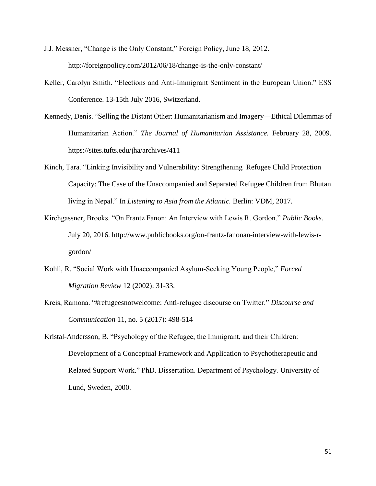- J.J. Messner, "Change is the Only Constant," Foreign Policy, June 18, 2012. <http://foreignpolicy.com/2012/06/18/change-is-the-only-constant/>
- Keller, Carolyn Smith. "Elections and Anti-Immigrant Sentiment in the European Union." ESS Conference. 13-15th July 2016, Switzerland.
- Kennedy, Denis. "Selling the Distant Other: Humanitarianism and Imagery—Ethical Dilemmas of Humanitarian Action." *The Journal of Humanitarian Assistance.* February 28, 2009. https://sites.tufts.edu/jha/archives/411
- Kinch, Tara. "Linking Invisibility and Vulnerability: Strengthening Refugee Child Protection Capacity: The Case of the Unaccompanied and Separated Refugee Children from Bhutan living in Nepal." In *Listening to Asia from the Atlantic.* Berlin: VDM, 2017.
- Kirchgassner, Brooks. "On Frantz Fanon: An Interview with Lewis R. Gordon." *Public Books.* July 20, 2016. http://www.publicbooks.org/on-frantz-fanonan-interview-with-lewis-rgordon/
- Kohli, R. "Social Work with Unaccompanied Asylum-Seeking Young People," *Forced Migration Review* 12 (2002): 31-33.
- Kreis, Ramona. "#refugeesnotwelcome: Anti-refugee discourse on Twitter." *Discourse and Communication* 11, no. 5 (2017): 498-514
- Kristal-Andersson, B. "Psychology of the Refugee, the Immigrant, and their Children: Development of a Conceptual Framework and Application to Psychotherapeutic and Related Support Work." PhD. Dissertation. Department of Psychology. University of Lund, Sweden, 2000.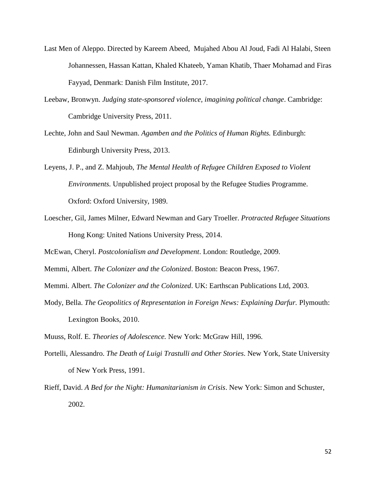- Last Men of Aleppo. Directed by Kareem Abeed, Mujahed Abou Al Joud, Fadi Al Halabi, Steen Johannessen, Hassan Kattan, Khaled Khateeb, Yaman Khatib, Thaer Mohamad and Firas Fayyad, Denmark: Danish Film Institute, 2017.
- Leebaw, Bronwyn. *Judging state-sponsored violence, imagining political change*. Cambridge: Cambridge University Press, 2011.
- Lechte, John and Saul Newman. *Agamben and the Politics of Human Rights.* Edinburgh: Edinburgh University Press, 2013.
- Leyens, J. P., and Z. Mahjoub, *The Mental Health of Refugee Children Exposed to Violent Environments.* Unpublished project proposal by the Refugee Studies Programme. Oxford: Oxford University, 1989.
- Loescher, Gil, James Milner, Edward Newman and Gary Troeller. *Protracted Refugee Situations*  Hong Kong: United Nations University Press, 2014.

McEwan, Cheryl. *Postcolonialism and Development*. London: Routledge, 2009.

Memmi, Albert. *The Colonizer and the Colonized*. Boston: Beacon Press, 1967.

Memmi. Albert. *The Colonizer and the Colonized*. UK: Earthscan Publications Ltd, 2003.

Mody, Bella. *The Geopolitics of Representation in Foreign News: Explaining Darfur.* Plymouth: Lexington Books, 2010.

Muuss, Rolf. E. *Theories of Adolescence.* New York: McGraw Hill, 1996.

Portelli, Alessandro. *The Death of Luigi Trastulli and Other Stories*. New York, State University of New York Press, 1991.

Rieff, David. *A Bed for the Night: Humanitarianism in Crisis*. New York: Simon and Schuster, 2002.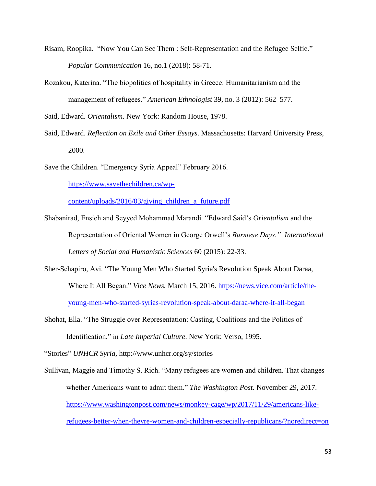- Risam, Roopika. "Now You Can See Them : Self-Representation and the Refugee Selfie." *Popular Communication* 16, no.1 (2018): 58-71.
- Rozakou, Katerina. "The biopolitics of hospitality in Greece: Humanitarianism and the management of refugees." *American Ethnologist* 39, no. 3 (2012): 562–577.

Said, Edward. *Orientalism.* New York: Random House, 1978.

Said, Edward. *Reflection on Exile and Other Essays*. Massachusetts: Harvard University Press, 2000.

Save the Children. "Emergency Syria Appeal" February 2016.

[https://www.savethechildren.ca/wp-](https://www.savethechildren.ca/wp-content/uploads/2016/03/giving_children_a_future.pdf)

[content/uploads/2016/03/giving\\_children\\_a\\_future.pdf](https://www.savethechildren.ca/wp-content/uploads/2016/03/giving_children_a_future.pdf) 

- Shabanirad, Ensieh and Seyyed Mohammad Marandi. "Edward Said's *Orientalism* and the Representation of Oriental Women in George Orwell's *Burmese Days." International Letters of Social and Humanistic Sciences* 60 (2015): 22-33.
- Sher-Schapiro, Avi. "The Young Men Who Started Syria's Revolution Speak About Daraa, Where It All Began." *Vice News.* March 15, 2016. [https://news.vice.com/article/the](https://news.vice.com/article/the-young-men-who-started-syrias-revolution-speak-about-daraa-where-it-all-began)[young-men-who-started-syrias-revolution-speak-about-daraa-where-it-all-began](https://news.vice.com/article/the-young-men-who-started-syrias-revolution-speak-about-daraa-where-it-all-began)
- Shohat, Ella. "The Struggle over Representation: Casting, Coalitions and the Politics of Identification," in *Late Imperial Culture*. New York: Verso, 1995.

"Stories" *UNHCR Syria,* http://www.unhcr.org/sy/stories

Sullivan, Maggie and Timothy S. Rich. "Many refugees are women and children. That changes whether Americans want to admit them." *The Washington Post.* November 29, 2017. [https://www.washingtonpost.com/news/monkey-cage/wp/2017/11/29/americans-like](https://www.washingtonpost.com/news/monkey-cage/wp/2017/11/29/americans-like-refugees-better-when-theyre-women-and-children-especially-republicans/?noredirect=on)[refugees-better-when-theyre-women-and-children-especially-republicans/?noredirect=on](https://www.washingtonpost.com/news/monkey-cage/wp/2017/11/29/americans-like-refugees-better-when-theyre-women-and-children-especially-republicans/?noredirect=on)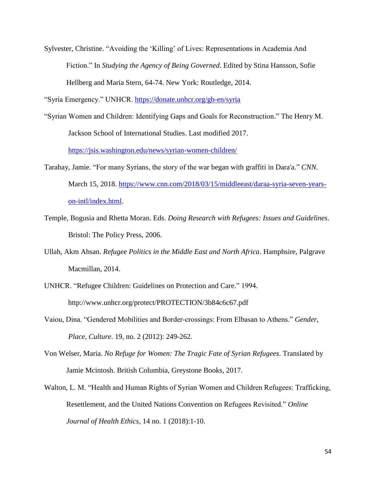Sylvester, Christine. "Avoiding the 'Killing' of Lives: Representations in Academia And Fiction." In *Studying the Agency of Being Governed*. Edited by Stina Hansson, Sofie Hellberg and Maria Stern, 64-74. New York: Routledge, 2014.

"Syria Emergency." UNHCR.<https://donate.unhcr.org/gb-en/syria>

- "Syrian Women and Children: Identifying Gaps and Goals for Reconstruction." The Henry M. Jackson School of International Studies. Last modified 2017. <https://jsis.washington.edu/news/syrian-women-children/>
- Tarabay, Jamie. "For many Syrians, the story of the war began with graffiti in Dara'a." *CNN.* March 15, 2018. [https://www.cnn.com/2018/03/15/middleeast/daraa-syria-seven-years](https://www.cnn.com/2018/03/15/middleeast/daraa-syria-seven-years-on-intl/index.html)[on-intl/index.html.](https://www.cnn.com/2018/03/15/middleeast/daraa-syria-seven-years-on-intl/index.html)
- Temple, Bogusia and Rhetta Moran. Eds. *Doing Research with Refugees: Issues and Guidelines*. Bristol: The Policy Press, 2006.
- Ullah, Akm Ahsan. *Refugee Politics in the Middle East and North Africa*. Hamphsire, Palgrave Macmillan, 2014.
- UNHCR. "Refugee Children: Guidelines on Protection and Care." 1994. http://www.unhcr.org/protect/PROTECTION/3b84c6c67.pdf
- Vaiou, Dina. "Gendered Mobilities and Border-crossings: From Elbasan to Athens." *Gender, Place, Culture*. 19, no. 2 (2012): 249-262.
- Von Welser, Maria. *No Refuge for Women: The Tragic Fate of Syrian Refugees*. Translated by Jamie Mcintosh. British Columbia, Greystone Books, 2017.
- Walton, L. M. "Health and Human Rights of Syrian Women and Children Refugees: Trafficking, Resettlement, and the United Nations Convention on Refugees Revisited." *Online Journal of Health Ethics,* 14 no. 1 (2018):1-10.